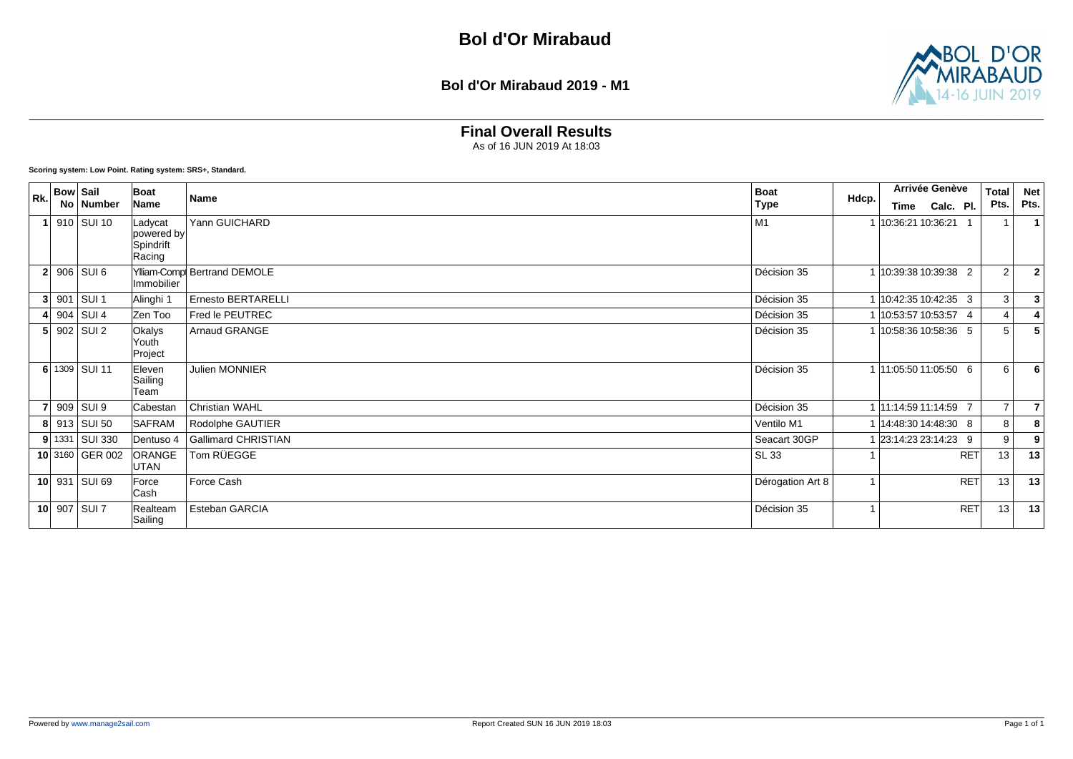#### **Bol d'Or Mirabaud 2019 - M1**



## **Final Overall Results**

As of 16 JUN 2019 At 18:03

| Rk. | <b>Bow Sail</b>  | Boat                                         |                             | <b>Boat</b>      |       | Arrivée Genève          |            | <b>Total</b>   | <b>Net</b>     |
|-----|------------------|----------------------------------------------|-----------------------------|------------------|-------|-------------------------|------------|----------------|----------------|
|     | No Number        | Name                                         | <b>Name</b>                 | <b>Type</b>      | Hdcp. | Calc. Pl.<br>Time       |            | Pts.           | Pts.           |
|     | 910 SUI 10       | Ladycat<br>powered by<br>Spindrift<br>Racing | Yann GUICHARD               | M1               |       | 10:36:21 10:36:21 1     |            | 1              |                |
|     | $2 906 $ SUI 6   | <b>Immobilier</b>                            | Ylliam-Comp Bertrand DEMOLE | Décision 35      |       | 1 10:39:38 10:39:38 2   |            | 2              | $\overline{2}$ |
|     | $3$ 901 SUI 1    | Alinghi 1                                    | Ernesto BERTARELLI          | Décision 35      |       | 1 10:42:35 10:42:35 3   |            | 3              | 3              |
|     | 4 904 SUI 4      | Zen Too                                      | Fred le PEUTREC             | Décision 35      |       | 1 10:53:57 10:53:57 4   |            | $\overline{4}$ |                |
|     | $5$ 902 SUI 2    | <b>Okalys</b><br>Youth<br>Project            | Arnaud GRANGE               | Décision 35      |       | 1 10:58:36 10:58:36 5   |            | 5              | 5              |
|     | 6 1309 SUI 11    | Eleven<br>Sailing<br>Team                    | <b>Julien MONNIER</b>       | Décision 35      |       | 1 11:05:50 11:05:50 6   |            | 6              | 6              |
|     | 909 SUI 9        | Cabestan                                     | <b>Christian WAHL</b>       | Décision 35      |       | 1 11:14:59 11:14:59 7   |            | $\overline{7}$ | $\overline{7}$ |
|     | 8 913 SUI 50     | SAFRAM                                       | Rodolphe GAUTIER            | Ventilo M1       |       | 1   14:48:30 14:48:30 8 |            | 8              | 8              |
|     | $9$ 1331 SUI 330 | Dentuso 4                                    | <b>Gallimard CHRISTIAN</b>  | Seacart 30GP     |       | 23:14:23 23:14:23 9     |            | 9              | 9              |
|     | 10 3160 GER 002  | ORANGE<br><b>UTAN</b>                        | Tom RÜEGGE                  | SL 33            |       |                         | <b>RET</b> | 13             | 13             |
|     | 10 931 SUI 69    | Force<br>Cash                                | Force Cash                  | Dérogation Art 8 |       |                         | <b>RET</b> | 13             | 13             |
|     | 10 907 SUI 7     | Realteam<br>Sailing                          | Esteban GARCIA              | Décision 35      |       |                         | <b>RET</b> | 13             | 13             |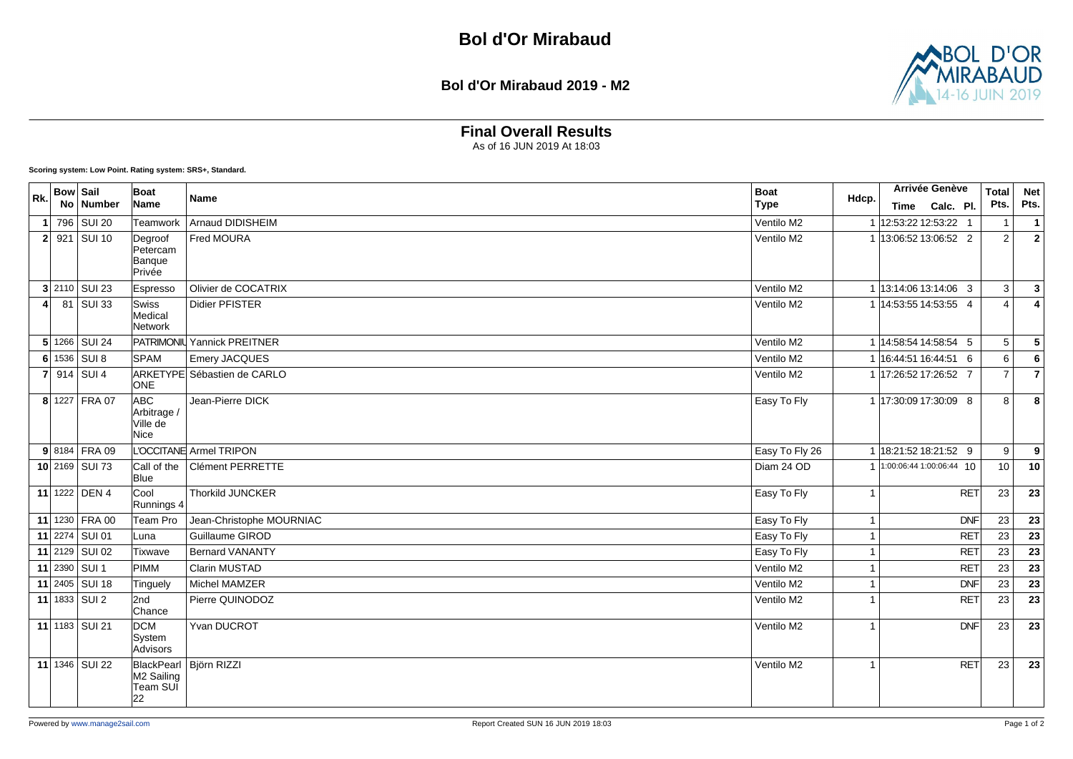#### **Bol d'Or Mirabaud 2019 - M2**



## **Final Overall Results**

As of 16 JUN 2019 At 18:03

| Rk. | <b>Bow Sail</b> | No Number        | <b>Boat</b><br>Name                                      | <b>Name</b>                 | <b>Boat</b><br><b>Type</b> | Hdcp.                   | <b>Arrivée Genève</b><br>Time Calc. Pl. | <b>Total</b><br>Pts. | <b>Net</b><br>Pts.      |
|-----|-----------------|------------------|----------------------------------------------------------|-----------------------------|----------------------------|-------------------------|-----------------------------------------|----------------------|-------------------------|
|     |                 | 1 796 SUI 20     | <b>Teamwork</b>                                          | Arnaud DIDISHEIM            | Ventilo M2                 |                         | 1 12:53:22 12:53:22 1                   | $\overline{1}$       | $\overline{1}$          |
|     |                 | $2$ 921 SUI 10   | Degroof<br>Petercam<br>Banque<br>Privée                  | Fred MOURA                  | Ventilo M2                 |                         | 1 13:06:52 13:06:52 2                   | 2                    | $\overline{2}$          |
|     |                 | $3$ 2110 SUI 23  | Espresso                                                 | Olivier de COCATRIX         | Ventilo M2                 |                         | 1 13:14:06 13:14:06 3                   | 3                    | 3                       |
| 4   |                 | 81 SUI 33        | Swiss<br>Medical<br>Network                              | Didier PFISTER              | Ventilo M2                 |                         | 1 14:53:55 14:53:55 4                   | $\overline{4}$       | $\overline{\mathbf{A}}$ |
|     |                 | $5 1266 $ SUI 24 |                                                          | PATRIMONIL Yannick PREITNER | Ventilo M2                 |                         | 1 14:58:54 14:58:54 5                   | 5                    | $\sqrt{5}$              |
|     |                 | 6 1536 SUI 8     | <b>SPAM</b>                                              | Emery JACQUES               | Ventilo M2                 |                         | 1 16:44:51 16:44:51 6                   | 6                    | 6                       |
|     |                 | 7 914 SUI 4      | <b>ONE</b>                                               | ARKETYPE Sébastien de CARLO | Ventilo M2                 |                         | 1 17:26:52 17:26:52 7                   | $\overline{7}$       | $\overline{7}$          |
|     |                 | 8 1227 FRA 07    | ABC<br>Arbitrage /<br>Ville de<br>Nice                   | Jean-Pierre DICK            | Easy To Fly                |                         | 1 17:30:09 17:30:09 8                   | 8                    | 8                       |
|     |                 | $9 8184 $ FRA 09 |                                                          | L'OCCITANE Armel TRIPON     | Easy To Fly 26             |                         | 1 18:21:52 18:21:52 9                   | 9                    | 9                       |
|     |                 | 10 2169 SUI 73   | Call of the<br><b>Blue</b>                               | <b>Clément PERRETTE</b>     | Diam 24 OD                 |                         | $1^{1:00:06:44}$ 1:00:06:44 10          | 10                   | 10                      |
|     |                 | 11 1222 DEN 4    | Cool<br>Runnings 4                                       | Thorkild JUNCKER            | Easy To Fly                | $\overline{1}$          | RET                                     | 23                   | 23                      |
|     |                 | 11 1230 FRA 00   | Team Pro                                                 | Jean-Christophe MOURNIAC    | Easy To Fly                | $\mathbf{1}$            | <b>DNF</b>                              | 23                   | 23                      |
|     |                 | 11 2274 SUI 01   | Luna                                                     | Guillaume GIROD             | Easy To Fly                | -1                      | <b>RET</b>                              | 23                   | $\overline{23}$         |
|     |                 | 11 2129 SUI 02   | Tixwave                                                  | <b>Bernard VANANTY</b>      | Easy To Fly                | $\overline{1}$          | <b>RET</b>                              | 23                   | 23                      |
|     |                 | $11$ 2390 SUI 1  | PIMM                                                     | <b>Clarin MUSTAD</b>        | Ventilo M2                 | $\overline{1}$          | <b>RET</b>                              | 23                   | 23                      |
|     |                 | 11 2405 SUI 18   | Tinguely                                                 | <b>Michel MAMZER</b>        | Ventilo M2                 | -1                      | <b>DNF</b>                              | 23                   | 23                      |
|     |                 | $11$ 1833 SUI 2  | 2nd<br>Chance                                            | Pierre QUINODOZ             | Ventilo M2                 | -1                      | <b>RET</b>                              | 23                   | $\overline{23}$         |
|     |                 | 11 1183 SUI 21   | <b>DCM</b><br>System<br>Advisors                         | Yvan DUCROT                 | Ventilo M2                 | $\overline{\mathbf{1}}$ | <b>DNF</b>                              | 23                   | 23                      |
|     |                 | 11 1346 SUI 22   | BlackPearl   Björn RIZZI<br>M2 Sailing<br>Team SUĪ<br>22 |                             | Ventilo M2                 | $\overline{1}$          | <b>RET</b>                              | 23                   | 23                      |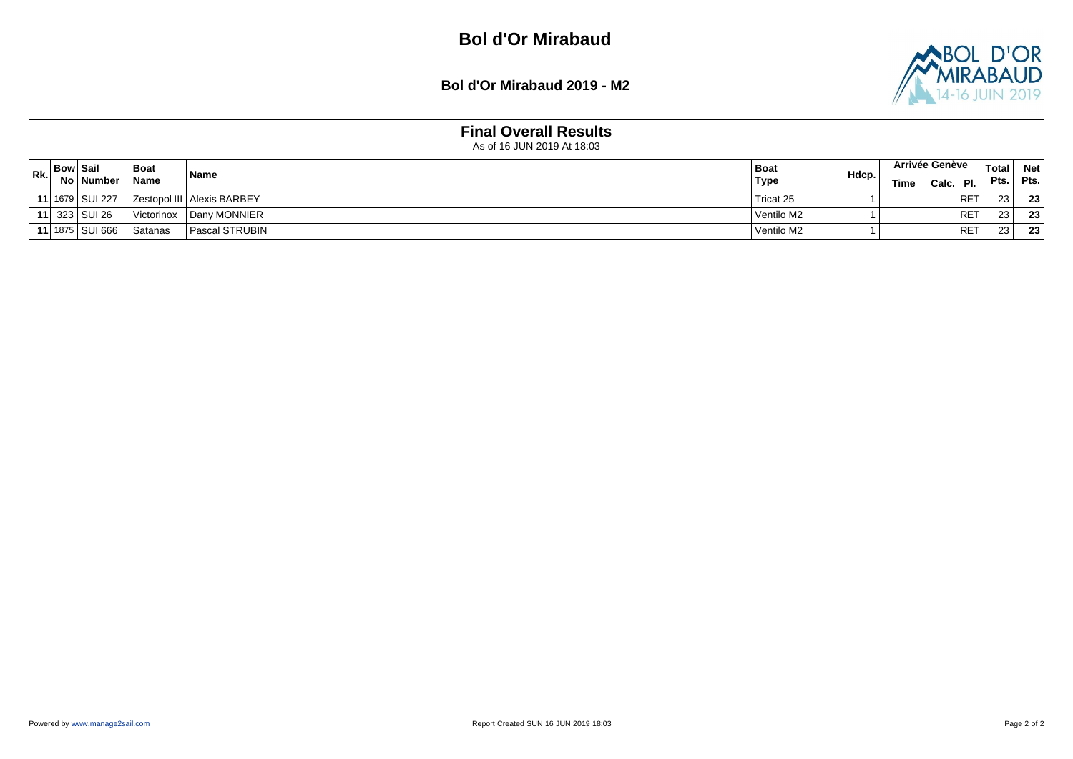**Bol d'Or Mirabaud 2019 - M2**



## **Final Overall Results**

| Rk. | <b>Bow Sail</b> | No   Number       | Boat<br><b>Name</b> | <b>Name</b>                  | Boat<br><b>Type</b> | Hdcp. | <b>Arrivée Genève</b><br>PI.<br>Time<br>Calc. | <b>Total</b><br>Pts. | <b>Net</b><br>Pts. |
|-----|-----------------|-------------------|---------------------|------------------------------|---------------------|-------|-----------------------------------------------|----------------------|--------------------|
|     |                 | 11 1679 SUI 227   |                     | Zestopol III   Alexis BARBEY | Tricat 25           |       | <b>RET</b>                                    | 23                   | 23 <sub>1</sub>    |
|     |                 | 11 323 SUI 26     | Victorinox          | Dany MONNIER                 | Ventilo M2          |       | RE <sub>1</sub>                               | 23 <sub>1</sub>      | 23                 |
|     |                 | 11 1875   SUI 666 | Satanas             | Pascal STRUBIN               | Ventilo M2          |       | <b>RET</b>                                    | 23                   | 23                 |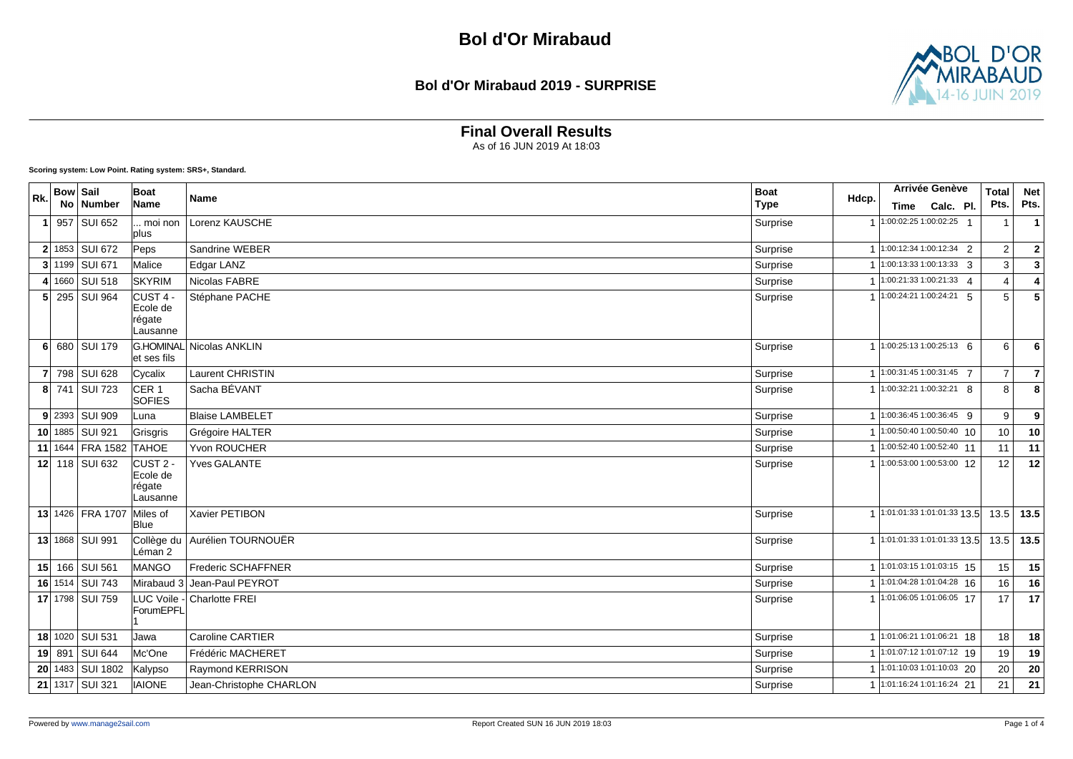#### **Bol d'Or Mirabaud 2019 - SURPRISE**



## **Final Overall Results**

As of 16 JUN 2019 At 18:03

| Rk. | <b>Bow Sail</b> |                        | Boat                                                  | <b>Name</b>                 | <b>Boat</b> | Hdcp.          | Arrivée Genève                 | <b>Total</b>   | <b>Net</b>      |
|-----|-----------------|------------------------|-------------------------------------------------------|-----------------------------|-------------|----------------|--------------------------------|----------------|-----------------|
|     |                 | No Number              | Name                                                  |                             | <b>Type</b> |                | Time Calc. Pl.                 | Pts.           | Pts.            |
|     |                 | 957 SUI 652            | moi non<br>plus                                       | Lorenz KAUSCHE              | Surprise    | $\overline{1}$ | $1:00:02:251:00:02:25$ 1       |                | $\mathbf 1$     |
|     |                 | 2 1853 SUI 672         | Peps                                                  | Sandrine WEBER              | Surprise    |                | 1 1:00:12:34 1:00:12:34 2      | $\overline{2}$ | $\mathbf{2}$    |
|     |                 | 3 1199 SUI 671         | Malice                                                | Edgar LANZ                  | Surprise    | $\overline{1}$ | $1:00:13:331:00:13:33$ 3       | 3              | $\mathbf{3}$    |
|     |                 | 4 1660 SUI 518         | <b>SKYRIM</b>                                         | Nicolas FABRE               | Surprise    |                | 1 1:00:21:33 1:00:21:33 4      | 4              | $\pmb{4}$       |
|     |                 | 5 295 SUI 964          | lCUST 4 -<br>Ecole de<br>régate<br>Lausanne           | Stéphane PACHE              | Surprise    |                | 1 1:00:24:21 1:00:24:21 5      | 5              | $\overline{5}$  |
|     |                 | 6 680 SUI 179          | et ses fils                                           | G.HOMINAL Nicolas ANKLIN    | Surprise    |                | 1 1:00:25:13 1:00:25:13 6      | 6              | 6               |
|     |                 | 7 798 SUI 628          | Cycalix                                               | <b>Laurent CHRISTIN</b>     | Surprise    |                | 1 1:00:31:45 1:00:31:45 7      | $\overline{7}$ | $\overline{7}$  |
|     |                 | 8 741 SUI 723          | CER <sub>1</sub><br><b>SOFIES</b>                     | Sacha BÉVANT                | Surprise    |                | 1:00:32:21 1:00:32:21 8        | 8              | 8               |
|     |                 | 9 2393 SUI 909         | Luna                                                  | <b>Blaise LAMBELET</b>      | Surprise    | $\overline{1}$ | $1:00:36:45$ 1:00:36:45 9      | 9              | 9               |
|     |                 | 10 1885 SUI 921        | Grisgris                                              | Grégoire HALTER             | Surprise    |                | 1 1:00:50:40 1:00:50:40 10     | 10             | 10              |
|     |                 | 11 1644 FRA 1582 TAHOE |                                                       | Yvon ROUCHER                | Surprise    |                | 1 1:00:52:40 1:00:52:40 11     | 11             | 11              |
|     |                 | 12 118 SUI 632         | CUST <sub>2</sub> -<br>Ecole de<br>régate<br>Lausanne | <b>Yves GALANTE</b>         | Surprise    |                | 1 1:00:53:00 1:00:53:00 12     | 12             | 12              |
|     |                 | 13 1426 FRA 1707       | Miles of<br><b>Blue</b>                               | Xavier PETIBON              | Surprise    |                | $1$ 1:01:01:33 1:01:01:33 13.5 | 13.5           | 13.5            |
|     |                 | 13 1868   SUI 991      | Collège du<br>Léman 2                                 | Aurélien TOURNOUËR          | Surprise    |                | $1$ 1:01:01:33 1:01:01:33 13.5 | 13.5           | 13.5            |
|     |                 | 15 166 SUI 561         | <b>IMANGO</b>                                         | <b>Frederic SCHAFFNER</b>   | Surprise    |                | 1 1:01:03:15 1:01:03:15 15     | 15             | 15              |
|     |                 | 16 1514 SUI 743        |                                                       | Mirabaud 3 Jean-Paul PEYROT | Surprise    | $\overline{1}$ | 1:01:04:28 1:01:04:28 16       | 16             | 16              |
|     |                 | 17 1798 SUI 759        | ForumEPFL                                             | LUC Voile - Charlotte FREI  | Surprise    |                | 1 1:01:06:05 1:01:06:05 17     | 17             | $\overline{17}$ |
|     |                 | 18 1020 SUI 531        | Jawa                                                  | <b>Caroline CARTIER</b>     | Surprise    |                | 1 1:01:06:21 1:01:06:21 18     | 18             | 18              |
|     |                 | 19 891 SUI 644         | Mc'One                                                | Frédéric MACHERET           | Surprise    |                | 1 1:01:07:12 1:01:07:12 19     | 19             | 19              |
|     |                 | 20 1483 SUI 1802       | Kalypso                                               | Raymond KERRISON            | Surprise    |                | 1 1:01:10:03 1:01:10:03 20     | 20             | 20              |
|     |                 | 21 1317 SUI 321        | <b>IAIONE</b>                                         | Jean-Christophe CHARLON     | Surprise    |                | 1 1:01:16:24 1:01:16:24 21     | 21             | 21              |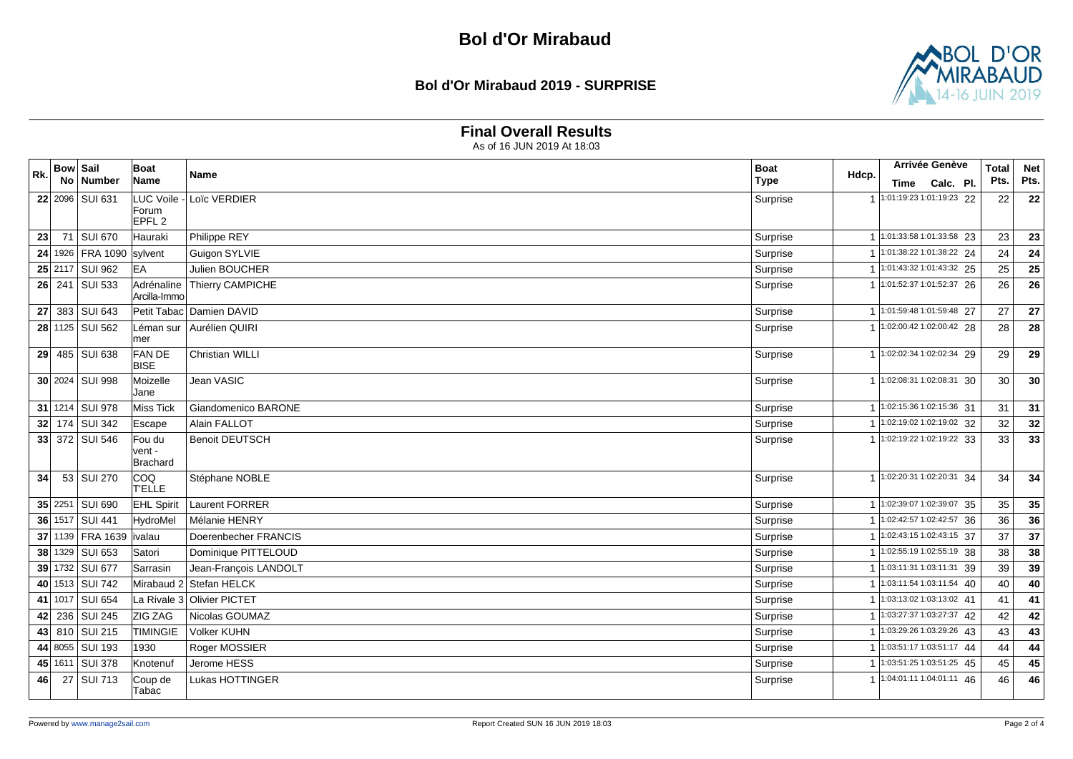#### **Bol d'Or Mirabaud 2019 - SURPRISE**



### **Final Overall Results**

|                 | <b>Bow Sail</b> |                           | <b>Boat</b>                  |                            | <b>Boat</b>          |                | Arrivée Genève |                                      | <b>Total</b> | <b>Net</b> |
|-----------------|-----------------|---------------------------|------------------------------|----------------------------|----------------------|----------------|----------------|--------------------------------------|--------------|------------|
| Rk.             | <b>No</b>       | <b>Number</b>             | Name                         | Name                       | Hdcp.<br><b>Type</b> |                | Time           | Calc. Pl.                            | Pts.         | Pts.       |
|                 |                 | 22 2096 SUI 631           | LUC Voile                    | Loïc VERDIER               | Surprise             |                |                | 1 1:01:19:23 1:01:19:23 22           | 22           | 22         |
|                 |                 |                           | Forum<br>EPFL <sub>2</sub>   |                            |                      |                |                |                                      |              |            |
| 23              |                 | 71 SUI 670                | Hauraki                      | Philippe REY               | Surprise             |                |                | 1 1:01:33:58 1:01:33:58 23           | 23           | 23         |
| 24              |                 | 1926   FRA 1090   sylvent |                              | Guigon SYLVIE              | Surprise             |                |                | 1:01:38:22 1:01:38:22 24             | 24           | 24         |
|                 |                 | 25 2117 SUI 962           | <b>EA</b>                    | Julien BOUCHER             | Surprise             |                |                | $1:01:43:321:01:43:32$ 25            | 25           | 25         |
|                 |                 | 26 241 SUI 533            | Adrénaline<br>Arcilla-Immo   | Thierry CAMPICHE           | Surprise             |                |                | 1 1:01:52:37 1:01:52:37 26           | 26           | 26         |
| 27              |                 | 383 SUI 643               |                              | Petit Tabac Damien DAVID   | Surprise             |                |                | 1 1:01:59:48 1:01:59:48 27           | 27           | 27         |
|                 |                 | 28 1125 SUI 562           | Léman sur<br>mer             | Aurélien QUIRI             | Surprise             |                |                | 1:02:00:42 1:02:00:42 28             | 28           | 28         |
| 29 <sub>1</sub> |                 | 485 SUI 638               | <b>FANDE</b><br><b>BISE</b>  | Christian WILLI            | Surprise             |                |                | 1 1:02:02:34 1:02:02:34 29           | 29           | 29         |
|                 |                 | 30 2024 SUI 998           | Moizelle<br>Jane             | Jean VASIC                 | Surprise             |                |                | 1 1:02:08:31 1:02:08:31 30           | 30           | 30         |
|                 |                 | 31 1214 SUI 978           | Miss Tick                    | Giandomenico BARONE        | Surprise             |                |                | 1 1:02:15:36 1:02:15:36 31           | 31           | 31         |
|                 |                 | 32 174 SUI 342            | Escape                       | Alain FALLOT               | Surprise             |                |                | 1 1:02:19:02 1:02:19:02 32           | 32           | 32         |
|                 |                 | 33 372 SUI 546            | Fou du<br>vent -<br>Brachard | <b>Benoit DEUTSCH</b>      | Surprise             |                |                | 1 1:02:19:22 1:02:19:22 33           | 33           | 33         |
| 34              |                 | 53 SUI 270                | COQ<br><b>T'ELLE</b>         | Stéphane NOBLE             | Surprise             |                |                | 1 1:02:20:31 1:02:20:31 34           | 34           | 34         |
|                 |                 | 35 2251 SUI 690           | <b>EHL Spirit</b>            | Laurent FORRER             | Surprise             |                |                | 1 1:02:39:07 1:02:39:07 35           | 35           | 35         |
|                 |                 | 36 1517 SUI 441           | <b>HydroMel</b>              | Mélanie HENRY              | Surprise             |                |                | 1 1:02:42:57 1:02:42:57 36           | 36           | 36         |
|                 | $37$ 1139       | <b>FRA 1639</b>           | ivalau                       | Doerenbecher FRANCIS       | Surprise             |                |                | 1 1:02:43:15 1:02:43:15 37           | 37           | 37         |
|                 |                 | 38 1329 SUI 653           | Satori                       | Dominique PITTELOUD        | Surprise             |                |                | 1:02:55:19 1:02:55:19 38             | 38           | 38         |
|                 |                 | 39 1732 SUI 677           | Sarrasin                     | Jean-François LANDOLT      | Surprise             | $\mathbf{1}$   |                | $1:03:11:311:03:11:31$ 39            | 39           | 39         |
|                 |                 | 40 1513 SUI 742           |                              | Mirabaud 2 Stefan HELCK    | Surprise             | $\mathbf{1}$   |                | $1:03:11:541:03:11:54$ 40            | 40           | 40         |
| 41              |                 | 1017 SUI 654              |                              | La Rivale 3 Olivier PICTET | Surprise             |                |                | 1:03:13:02 1:03:13:02 41             | 41           | 41         |
| 42              | 236             | SUI 245                   | ZIG ZAG                      | Nicolas GOUMAZ             | Surprise             |                |                | 1:03:27:37 1:03:27:37 42             | 42           | 42         |
| 43              |                 | 810 SUI 215               | <b>TIMINGIE</b>              | <b>Volker KUHN</b>         | Surprise             |                |                | 1:03:29:26 1:03:29:26 43             | 43           | 43         |
|                 |                 | 44 8055 SUI 193           | 1930                         | Roger MOSSIER              | Surprise             |                |                | 1:03:51:171:03:51:1744               | 44           | 44         |
|                 |                 | 45 1611 SUI 378           | Knotenuf                     | Jerome HESS                | Surprise             | $\overline{1}$ |                | $1:03:51:25 1:03:51:25$ 45           | 45           | 45         |
| 46              |                 | 27 SUI 713                | Coup de<br>Tabac             | <b>Lukas HOTTINGER</b>     | Surprise             |                |                | $\boxed{1:04:01:11\ 1:04:01:11\ 46}$ | 46           | 46         |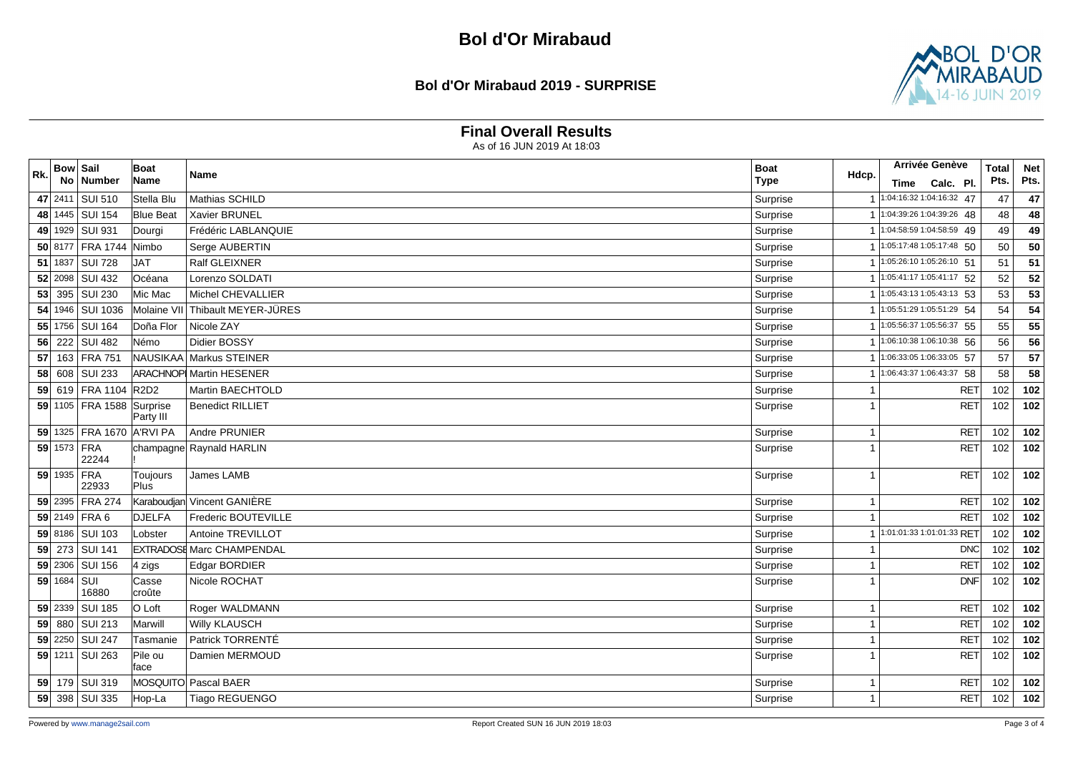#### **Bol d'Or Mirabaud 2019 - SURPRISE**



### **Final Overall Results**

| Rk. | Bow Sail    |                                 | <b>Boat</b>      | Name                            | <b>Boat</b><br>Hdcp. |                |      | <b>Arrivée Genève</b>                | <b>Total</b> | <b>Net</b>      |
|-----|-------------|---------------------------------|------------------|---------------------------------|----------------------|----------------|------|--------------------------------------|--------------|-----------------|
|     | No.         | Number                          | Name             |                                 | <b>Type</b>          |                | Time | Calc. Pl.                            | Pts.         | Pts.            |
|     | 47 2411     | SUI 510                         | Stella Blu       | Mathias SCHILD                  | Surprise             |                |      | 1:04:16:32 1:04:16:32 47             | 47           | 47              |
|     |             | 48 1445 SUI 154                 | <b>Blue Beat</b> | Xavier BRUNEL                   | Surprise             | $\overline{1}$ |      | 1:04:39:26 1:04:39:26 48             | 48           | 48              |
|     |             | 49 1929 SUI 931                 | Dourgi           | Frédéric LABLANQUIE             | Surprise             |                |      | 1:04:58:59 1:04:58:59 49             | 49           | 49              |
|     |             | 50 8177 FRA 1744 Nimbo          |                  | Serge AUBERTIN                  | Surprise             |                |      | $\overline{1:05:17:481:05:17:48}$ 50 | 50           | 50              |
|     | $51$ 1837   | <b>SUI 728</b>                  | <b>JAT</b>       | Ralf GLEIXNER                   | Surprise             |                |      | 1:05:26:10 1:05:26:10 51             | 51           | 51              |
|     |             | 52 2098 SUI 432                 | Océana           | Lorenzo SOLDATI                 | Surprise             | $\mathbf{1}$   |      | $1:05:41:171:05:41:17$ 52            | 52           | 52              |
|     |             | 53 395 SUI 230                  | Mic Mac          | Michel CHEVALLIER               | Surprise             |                |      | 1 1:05:43:13 1:05:43:13 53           | 53           | 53              |
|     |             | 54 1946 SUI 1036                | Molaine VII      | Thibault MEYER-JÜRES            | Surprise             |                |      | 1:05:51:29 1:05:51:29 54             | 54           | 54              |
|     |             | 55 1756 SUI 164                 | Doña Flor        | Nicole ZAY                      | Surprise             |                |      | 1 1:05:56:37 1:05:56:37 55           | 55           | 55              |
|     | $56$ 222    | <b>SUI 482</b>                  | Némo             | Didier BOSSY                    | Surprise             |                |      | 1:06:10:38 1:06:10:38 56             | 56           | 56              |
|     | $57$ 163    | <b>FRA 751</b>                  |                  | NAUSIKAA Markus STEINER         | Surprise             |                |      | 1:06:33:05 1:06:33:05 57             | 57           | $\overline{57}$ |
|     |             | 58 608 SUI 233                  |                  | <b>ARACHNOPI Martin HESENER</b> | Surprise             |                |      | 1:06:43:37 1:06:43:37 58             | 58           | 58              |
|     |             | 59 619 FRA 1104                 | R2D2             | Martin BAECHTOLD                | Surprise             | $\overline{1}$ |      | <b>RET</b>                           | 102          | 102             |
|     |             | 59 1105 FRA 1588 Surprise       | Party III        | <b>Benedict RILLIET</b>         | Surprise             | $\overline{1}$ |      | <b>RET</b>                           | 102          | 102             |
|     |             | 59 1325 FRA 1670 A'RVI PA       |                  | Andre PRUNIER                   | Surprise             | -1             |      | <b>RET</b>                           | 102          | 102             |
|     | 59 1573 FRA | 22244                           |                  | champagne Raynald HARLIN        | Surprise             | -1             |      | <b>RET</b>                           | 102          | 102             |
|     | 59 1935 FRA | 22933                           | Toujours<br>Plus | James LAMB                      | Surprise             | $\overline{1}$ |      | <b>RET</b>                           | 102          | 102             |
|     |             | 59 2395 FRA 274                 |                  | Karaboudjan Vincent GANIERE     | Surprise             | $\overline{1}$ |      | <b>RET</b>                           | 102          | 102             |
|     |             | 59 2149 FRA 6                   | <b>DJELFA</b>    | Frederic BOUTEVILLE             | Surprise             | -1             |      | <b>RET</b>                           | 102          | 102             |
|     |             | 59 8186 SUI 103                 | Lobster          | Antoine TREVILLOT               | Surprise             |                |      | 1:01:01:33 1:01:01:33 RET            | 102          | 102             |
|     |             | 59 273 SUI 141                  |                  | EXTRADOSE Marc CHAMPENDAL       | Surprise             | -1             |      | <b>DNC</b>                           | 102          | 102             |
|     | 59 2306     | SUI 156                         | 4 zigs           | Edgar BORDIER                   | Surprise             | -1             |      | <b>RET</b>                           | 102          | 102             |
|     | 59 1684     | $\overline{\text{su}}$<br>16880 | Casse<br>croûte  | Nicole ROCHAT                   | Surprise             | -1             |      | <b>DNF</b>                           | 102          | 102             |
|     | 59 2339     | <b>SUI 185</b>                  | O Loft           | Roger WALDMANN                  | Surprise             | $\overline{1}$ |      | <b>RET</b>                           | 102          | 102             |
|     | 59 880      | <b>SUI 213</b>                  | Marwill          | Willy KLAUSCH                   | Surprise             | -1             |      | <b>RET</b>                           | 102          | 102             |
|     | 59 2250     | <b>SUI 247</b>                  | Tasmanie         | Patrick TORRENTÉ                | Surprise             | -1             |      | <b>RET</b>                           | 102          | 102             |
|     |             | 59 1211 SUI 263                 | Pile ou<br>face  | Damien MERMOUD                  | Surprise             | -1             |      | <b>RET</b>                           | 102          | 102             |
|     |             | 59 179 SUI 319                  |                  | MOSQUITO Pascal BAER            | Surprise             | -1             |      | <b>RET</b>                           | 102          | 102             |
|     |             | 59 398 SUI 335                  | Hop-La           | <b>Tiago REGUENGO</b>           | Surprise             | -1             |      | <b>RET</b>                           | 102          | 102             |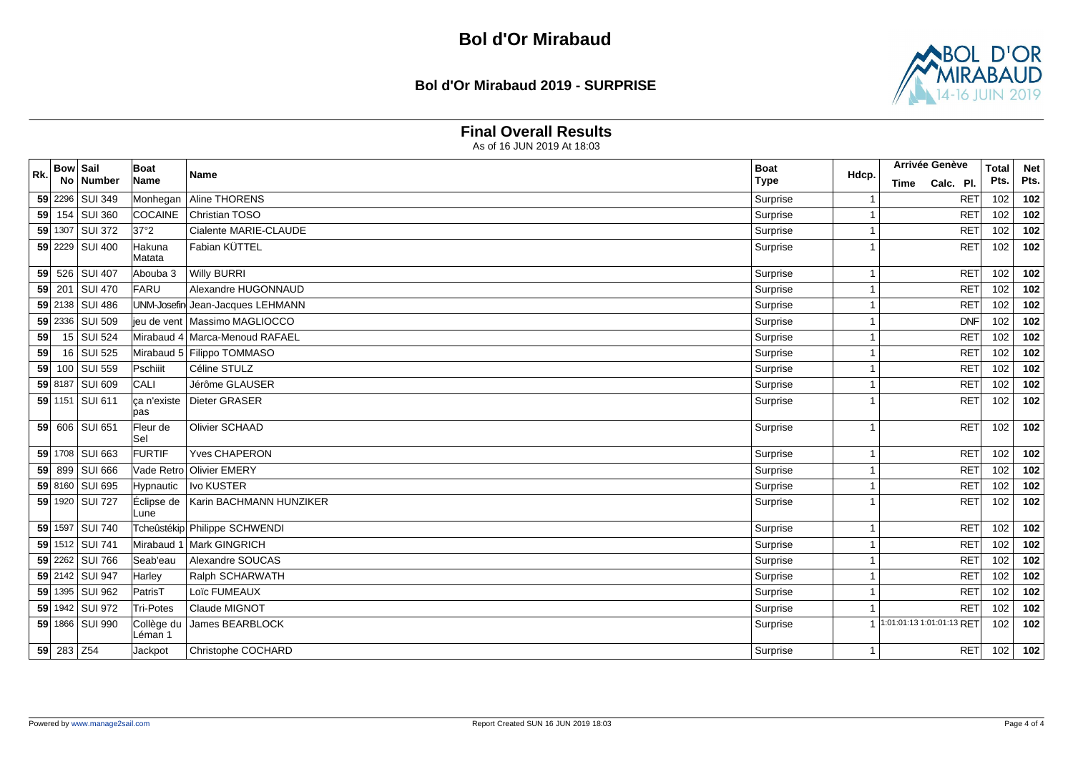#### **Bol d'Or Mirabaud 2019 - SURPRISE**



### **Final Overall Results**

| Rk. | <b>Bow Sail</b> |                 | Boat                  | <b>Name</b>                      | <b>Boat</b> | Hdcp.                   | <b>Arrivée Genève</b>     | <b>Total</b> | <b>Net</b> |
|-----|-----------------|-----------------|-----------------------|----------------------------------|-------------|-------------------------|---------------------------|--------------|------------|
|     | No.             | Number          | Name                  |                                  | <b>Type</b> |                         | Calc. Pl.<br>Time         | Pts.         | Pts.       |
|     |                 | 59 2296 SUI 349 | Monhegan              | Aline THORENS                    | Surprise    |                         | <b>RET</b>                | 102          | 102        |
|     |                 | 59 154 SUI 360  | COCAINE               | Christian TOSO                   | Surprise    | $\overline{1}$          | <b>RET</b>                | 102          | 102        |
|     |                 | 59 1307 SUI 372 | 37°2                  | Cialente MARIE-CLAUDE            | Surprise    | -1                      | <b>RET</b>                | 102          | 102        |
|     |                 | 59 2229 SUI 400 | Hakuna<br>Matata      | Fabian KÜTTEL                    | Surprise    |                         | <b>RET</b>                | 102          | 102        |
|     |                 | 59 526 SUI 407  | Abouba 3              | <b>Willy BURRI</b>               | Surprise    | -1                      | <b>RET</b>                | 102          | 102        |
|     | 59 201          | SUI 470         | FARU                  | Alexandre HUGONNAUD              | Surprise    | $\overline{\mathbf{1}}$ | <b>RET</b>                | 102          | 102        |
|     |                 | 59 2138 SUI 486 |                       | UNM-Josefin Jean-Jacques LEHMANN | Surprise    | -1                      | <b>RET</b>                | 102          | 102        |
|     |                 | 59 2336 SUI 509 |                       | ieu de vent   Massimo MAGLIOCCO  | Surprise    |                         | <b>DNF</b>                | 102          | 102        |
| 59  |                 | 15 SUI 524      |                       | Mirabaud 4 Marca-Menoud RAFAEL   | Surprise    | $\overline{1}$          | <b>RET</b>                | 102          | 102        |
| 59  |                 | 16 SUI 525      |                       | Mirabaud 5 Filippo TOMMASO       | Surprise    |                         | <b>RET</b>                | 102          | 102        |
|     |                 | 59 100 SUI 559  | Pschiiit              | Céline STULZ                     | Surprise    | -1                      | <b>RET</b>                | 102          | 102        |
|     |                 | 59 8187 SUI 609 | CALI                  | Jérôme GLAUSER                   | Surprise    | $\overline{\mathbf{1}}$ | <b>RET</b>                | 102          | 102        |
|     |                 | 59 1151 SUI 611 | ça n'existe<br>lpas   | Dieter GRASER                    | Surprise    |                         | <b>RET</b>                | 102          | $102$      |
|     |                 | 59 606 SUI 651  | Fleur de<br>lSel      | Olivier SCHAAD                   | Surprise    | $\overline{\mathbf{1}}$ | <b>RET</b>                | 102          | 102        |
|     |                 | 59 1708 SUI 663 | <b>FURTIF</b>         | Yves CHAPERON                    | Surprise    | -1                      | <b>RET</b>                | 102          | 102        |
|     | $59$ 899        | <b>SUI 666</b>  | Vade Retro            | <b>Olivier EMERY</b>             | Surprise    |                         | <b>RET</b>                | 102          | 102        |
|     |                 | 59 8160 SUI 695 | Hypnautic             | Ivo KUSTER                       | Surprise    | $\overline{1}$          | <b>RET</b>                | 102          | 102        |
|     |                 | 59 1920 SUI 727 | Éclipse de<br>Lune    | Karin BACHMANN HUNZIKER          | Surprise    |                         | <b>RET</b>                | 102          | 102        |
|     |                 | 59 1597 SUI 740 |                       | Tcheûstékip Philippe SCHWENDI    | Surprise    | -1                      | <b>RET</b>                | 102          | 102        |
|     |                 | 59 1512 SUI 741 | Mirabaud 1            | Mark GINGRICH                    | Surprise    | -1                      | <b>RET</b>                | 102          | 102        |
|     |                 | 59 2262 SUI 766 | Seab'eau              | Alexandre SOUCAS                 | Surprise    | $\overline{\mathbf{1}}$ | <b>RET</b>                | 102          | 102        |
|     |                 | 59 2142 SUI 947 | Harley                | Ralph SCHARWATH                  | Surprise    |                         | <b>RET</b>                | 102          | 102        |
|     |                 | 59 1395 SUI 962 | PatrisT               | Loïc FUMEAUX                     | Surprise    | -1                      | <b>RET</b>                | 102          | 102        |
|     |                 | 59 1942 SUI 972 | Tri-Potes             | Claude MIGNOT                    | Surprise    | $\overline{1}$          | <b>RET</b>                | 102          | 102        |
|     |                 | 59 1866 SUI 990 | Collège du<br>Léman 1 | James BEARBLOCK                  | Surprise    |                         | 1:01:01:13 1:01:01:13 RET | 102          | 102        |
|     | 59 283 Z54      |                 | Jackpot               | Christophe COCHARD               | Surprise    | -1                      | RET                       | 102          | 102        |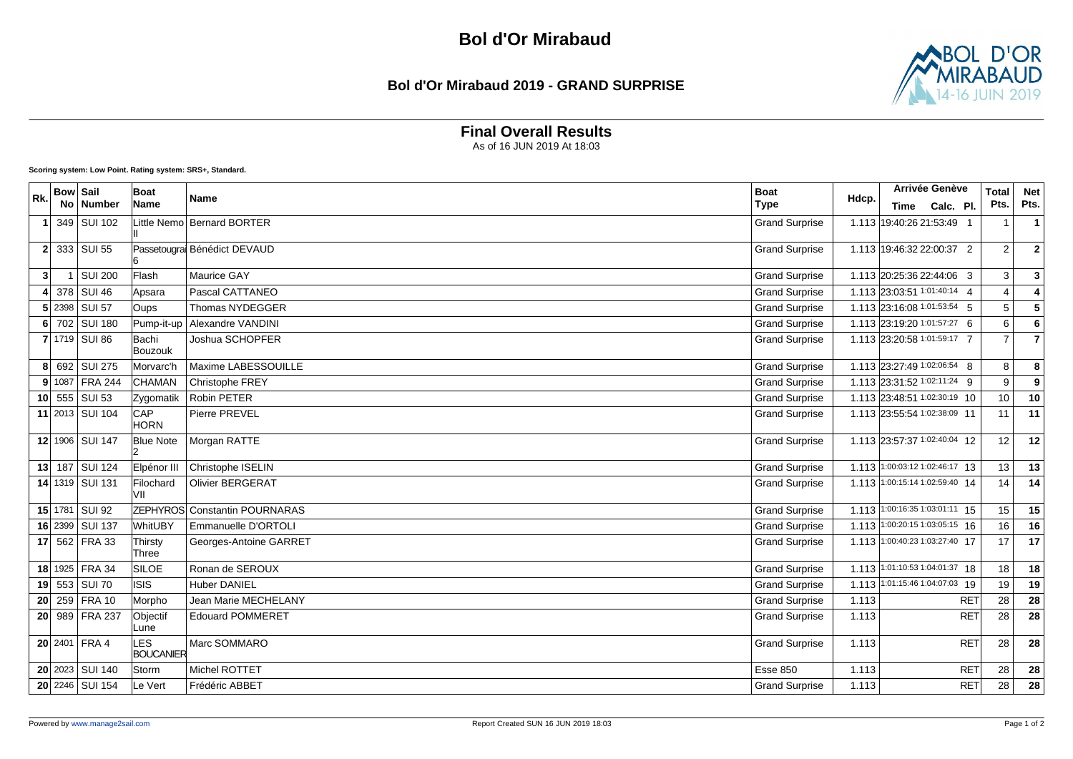#### **Bol d'Or Mirabaud 2019 - GRAND SURPRISE**



**Final Overall Results**

As of 16 JUN 2019 At 18:03

|     | <b>Bow Sail</b> |                     | Boat                    |                                      | <b>Boat</b>           |       | Arrivée Genève                 | <b>Total</b>   | <b>Net</b>              |
|-----|-----------------|---------------------|-------------------------|--------------------------------------|-----------------------|-------|--------------------------------|----------------|-------------------------|
| Rk. |                 | No Number           | Name                    | <b>Name</b>                          | <b>Type</b>           | Hdcp. | Calc. Pl.<br>Time              | Pts.           | Pts.                    |
|     |                 | 349 SUI 102         |                         | ittle Nemo Bernard BORTER            | <b>Grand Surprise</b> |       | 1.113 19:40:26 21:53:49 1      | $\mathbf{1}$   | $\mathbf{1}$            |
|     |                 | $2$ 333 SUI 55      |                         | Passetougral Bénédict DEVAUD         | <b>Grand Surprise</b> |       | 1.113 19:46:32 22:00:37 2      | $\overline{2}$ | $\mathbf{2}$            |
| 3   | -1              | <b>SUI 200</b>      | Flash                   | Maurice GAY                          | <b>Grand Surprise</b> |       | 1.113 20:25:36 22:44:06 3      | $\mathbf{3}$   | $\mathbf{3}$            |
|     |                 | 378 SUI 46          | Apsara                  | Pascal CATTANEO                      | <b>Grand Surprise</b> |       | 1.113 23:03:51 1:01:40:14 4    | $\overline{4}$ | 4                       |
|     |                 | $5$   2398   SUI 57 | Oups                    | <b>Thomas NYDEGGER</b>               | <b>Grand Surprise</b> |       | 1.113 23:16:08 1:01:53:54 5    | 5              | $\overline{\mathbf{5}}$ |
|     |                 | 6 702 SUI 180       | Pump-it-up              | Alexandre VANDINI                    | <b>Grand Surprise</b> |       | 1.113 23:19:20 1:01:57:27 6    | 6              | 6                       |
|     |                 | 7 1719 SUI 86       | Bachi<br>Bouzouk        | Joshua SCHOPFER                      | <b>Grand Surprise</b> |       | 1.113 23:20:58 1:01:59:17 7    | $\overline{7}$ | $\overline{7}$          |
|     |                 | 8 692 SUI 275       | Morvarc'h               | Maxime LABESSOUILLE                  | <b>Grand Surprise</b> |       | 1.113 23:27:49 1:02:06:54 8    | 8              | 8                       |
|     |                 | 9 1087 FRA 244      | CHAMAN                  | Christophe FREY                      | <b>Grand Surprise</b> |       | 1.113 23:31:52 1:02:11:24 9    | 9              | 9                       |
|     |                 | 10 $555$ SUI 53     | Zygomatik               | <b>Robin PETER</b>                   | <b>Grand Surprise</b> |       | 1.113 23:48:51 1:02:30:19 10   | 10             | 10                      |
|     |                 | 11 2013 SUI 104     | CAP<br><b>HORN</b>      | Pierre PREVEL                        | <b>Grand Surprise</b> |       | 1.113 23:55:54 1:02:38:09 11   | 11             | 11                      |
|     |                 | 12 1906 SUI 147     | <b>Blue Note</b>        | Morgan RATTE                         | <b>Grand Surprise</b> |       | 1.113 23:57:37 1:02:40:04 12   | 12             | 12                      |
|     |                 | 13 187 SUI 124      | Elpénor III             | Christophe ISELIN                    | <b>Grand Surprise</b> |       | 1.113 1:00:03:12 1:02:46:17 13 | 13             | 13                      |
|     |                 | 14 1319 SUI 131     | Filochard<br>VII        | <b>Olivier BERGERAT</b>              | <b>Grand Surprise</b> |       | 1.113 1:00:15:14 1:02:59:40 14 | 14             | 14                      |
|     |                 | 15 1781 SUI 92      |                         | <b>ZEPHYROS</b> Constantin POURNARAS | <b>Grand Surprise</b> |       | 1.113 1:00:16:35 1:03:01:11 15 | 15             | 15                      |
|     |                 | 16 2399 SUI 137     | WhitUBY                 | Emmanuelle D'ORTOLI                  | <b>Grand Surprise</b> |       | 1.113 1:00:20:15 1:03:05:15 16 | 16             | 16                      |
|     |                 | 17 562 FRA 33       | Thirsty<br>Three        | Georges-Antoine GARRET               | <b>Grand Surprise</b> |       | 1.113 1:00:40:23 1:03:27:40 17 | 17             | 17                      |
|     |                 | 18 1925 FRA 34      | SILOE                   | Ronan de SEROUX                      | <b>Grand Surprise</b> |       | 1.113 1:01:10:53 1:04:01:37 18 | 18             | 18                      |
|     |                 | 19 553 SUI 70       | <b>ISIS</b>             | Huber DANIEL                         | <b>Grand Surprise</b> |       | 1.113 1:01:15:46 1:04:07:03 19 | 19             | 19                      |
|     |                 | 20 259 FRA 10       | Morpho                  | Jean Marie MECHELANY                 | <b>Grand Surprise</b> | 1.113 | <b>RET</b>                     | 28             | 28                      |
|     |                 | 20 989 FRA 237      | Objectif<br>Lune        | <b>Edouard POMMERET</b>              | <b>Grand Surprise</b> | 1.113 | <b>RET</b>                     | 28             | 28                      |
|     |                 | $20$ 2401 FRA 4     | LES<br><b>BOUCANIER</b> | Marc SOMMARO                         | <b>Grand Surprise</b> | 1.113 | <b>RET</b>                     | 28             | 28                      |
|     |                 | $20$ 2023 SUI 140   | Storm                   | Michel ROTTET                        | <b>Esse 850</b>       | 1.113 | <b>RET</b>                     | 28             | 28                      |
|     |                 | 20 2246 SUI 154     | Le Vert                 | Frédéric ABBET                       | <b>Grand Surprise</b> | 1.113 | <b>RET</b>                     | 28             | 28                      |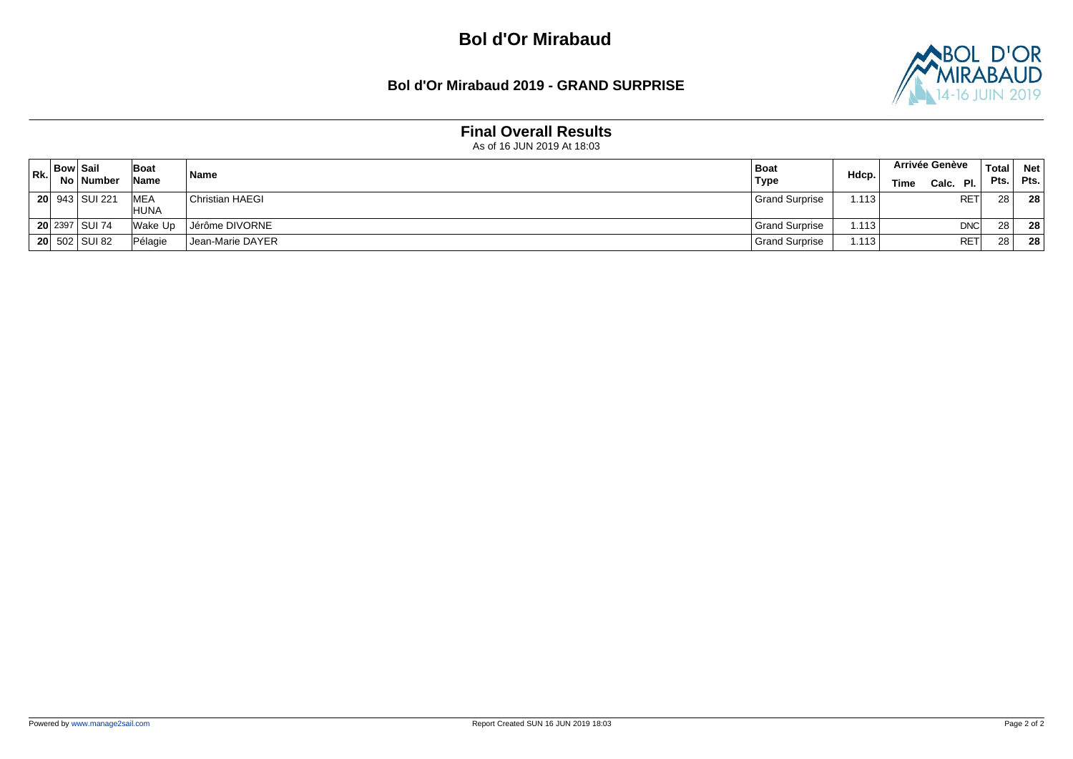#### **Bol d'Or Mirabaud 2019 - GRAND SURPRISE**



## **Final Overall Results**

| Rk. | <b>Bow Sail</b> |                  | Boat                        | Name                          | Boat                  | Hdcp. | <b>Arrivée Genève</b> | <b>Total</b> | <b>Net</b> |
|-----|-----------------|------------------|-----------------------------|-------------------------------|-----------------------|-------|-----------------------|--------------|------------|
|     |                 | No ∣ Number      | Name                        |                               | <b>Type</b>           |       | Calc. Pl.<br>Time     | Pts.         | Pts.       |
|     |                 | 20 943 SUI 221   | <b>IMEA</b><br><b>IHUNA</b> | <b>Christian HAEGI</b>        | <b>Grand Surprise</b> | i.113 | <b>RET</b>            | 28           | 28         |
|     |                 | 20 2397 SUI 74   | Wake Up                     | Jérôme DIVORNE                | l Grand Surprise      | 1.113 | <b>DNC</b>            | 28           | -28        |
|     |                 | $20 502 $ SUI 82 | Pélagie                     | <sup>I</sup> Jean-Marie DAYER | Grand Surprise        | 1.113 | <b>RET</b>            | 28           | 28         |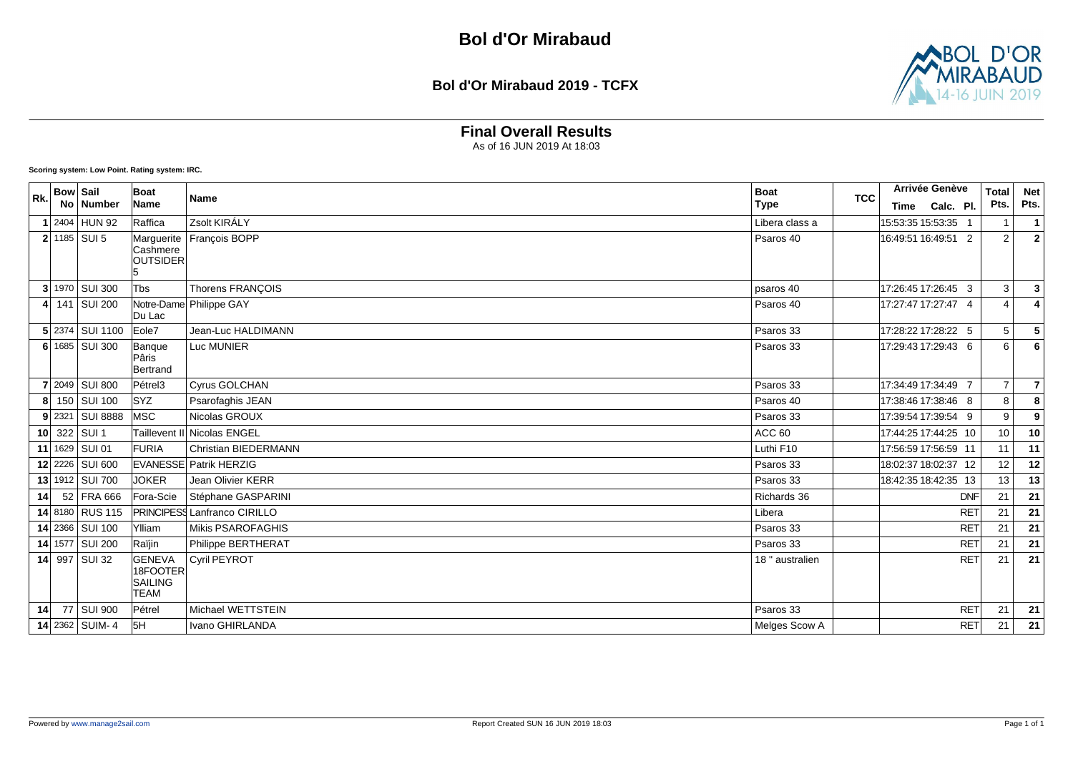#### **Bol d'Or Mirabaud 2019 - TCFX**



## **Final Overall Results**

As of 16 JUN 2019 At 18:03

**Scoring system: Low Point. Rating system: IRC.**

| Rk. | <b>Bow Sail</b> |                  | Boat                      | Name                                | <b>Boat</b>       | <b>TCC</b> |                      | Arrivée Genève | <b>Total</b>    | <b>Net</b>      |
|-----|-----------------|------------------|---------------------------|-------------------------------------|-------------------|------------|----------------------|----------------|-----------------|-----------------|
|     |                 | No   Number      | Name                      |                                     | <b>Type</b>       |            | Time                 | Calc. Pl.      | Pts.            | Pts.            |
|     |                 | 2404 HUN 92      | Raffica                   | Zsolt KIRÁLY                        | Libera class a    |            | 15:53:35 15:53:35    |                |                 | $\overline{1}$  |
|     |                 | $2$ 1185 SUI 5   |                           | Marguerite   François BOPP          | Psaros 40         |            | 16:49:51 16:49:51 2  |                | 2               | $\overline{2}$  |
|     |                 |                  | lCashmere<br>OUTSIDER     |                                     |                   |            |                      |                |                 |                 |
|     |                 |                  |                           |                                     |                   |            |                      |                |                 |                 |
|     |                 | 3 1970 SUI 300   | Tbs                       | Thorens FRANÇOIS                    | psaros 40         |            | 17:26:45 17:26:45 3  |                | $\mathbf{3}$    | $\overline{3}$  |
|     |                 | 141 SUI 200      | Du Lac                    | Notre-Dame Philippe GAY             | Psaros 40         |            | 17:27:47 17:27:47 4  |                | 4               |                 |
|     |                 | 5 2374 SUI 1100  | Eole7                     | Jean-Luc HALDIMANN                  | Psaros 33         |            | 17:28:22 17:28:22 5  |                | 5               | 5               |
|     |                 | 6 $1685$ SUI 300 | Banque                    | Luc MUNIER                          | Psaros 33         |            | 17:29:43 17:29:43 6  |                | 6               | 6               |
|     |                 |                  | Pâris<br>Bertrand         |                                     |                   |            |                      |                |                 |                 |
|     |                 | 7 2049 SUI 800   | Pétrel3                   | Cyrus GOLCHAN                       | Psaros 33         |            | 17:34:49 17:34:49 7  |                | $\overline{7}$  | $\overline{7}$  |
|     |                 | 150 SUI 100      | <b>SYZ</b>                | Psarofaghis JEAN                    | Psaros 40         |            | 17:38:46 17:38:46 8  |                | 8               | 8               |
|     |                 | 9 2321 SUI 8888  | <b>IMSC</b>               | Nicolas GROUX                       | Psaros 33         |            | 17:39:54 17:39:54 9  |                | 9               | 9               |
|     |                 | 10 322 SUI 1     |                           | Taillevent II Nicolas ENGEL         | ACC <sub>60</sub> |            | 17:44:25 17:44:25 10 |                | 10              | 10              |
|     |                 | 11 1629 SUI 01   | FURIA                     | <b>Christian BIEDERMANN</b>         | Luthi F10         |            | 17:56:59 17:56:59 11 |                | 11              | 11              |
|     |                 | 12 2226 SUI 600  |                           | <b>EVANESSE Patrik HERZIG</b>       | Psaros 33         |            | 18:02:37 18:02:37 12 |                | 12              | 12              |
|     |                 | 13 1912 SUI 700  | <b>JOKER</b>              | Jean Olivier KERR                   | Psaros 33         |            | 18:42:35 18:42:35 13 |                | 13              | 13              |
| 14  |                 | 52 FRA 666       | Fora-Scie                 | Stéphane GASPARINI                  | Richards 36       |            |                      | <b>DNF</b>     | $\overline{21}$ | $\overline{21}$ |
|     |                 | 14 8180 RUS 115  |                           | <b>PRINCIPESS Lanfranco CIRILLO</b> | Libera            |            |                      | <b>RET</b>     | 21              | 21              |
|     |                 | 14 2366 SUI 100  | Ylliam                    | <b>Mikis PSAROFAGHIS</b>            | Psaros 33         |            |                      | RET            | 21              | 21              |
|     |                 | 14 1577 SUI 200  | Raïjin                    | Philippe BERTHERAT                  | Psaros 33         |            |                      | <b>RET</b>     | 21              | 21              |
|     |                 | 14 997 SUI 32    | <b>GENEVA</b><br>18FOOTER | <b>Cyril PEYROT</b>                 | 18 " australien   |            |                      | RET            | 21              | $\overline{21}$ |
|     |                 |                  | SAILING                   |                                     |                   |            |                      |                |                 |                 |
|     |                 |                  | <b>TEAM</b>               |                                     |                   |            |                      |                |                 |                 |
| 14  |                 | 77 SUI 900       | Pétrel                    | Michael WETTSTEIN                   | Psaros 33         |            |                      | <b>RET</b>     | 21              | 21              |
|     |                 | 14 2362 SUIM-4   | 5H                        | Ivano GHIRLANDA                     | Melges Scow A     |            |                      | <b>RET</b>     | 21              | 21              |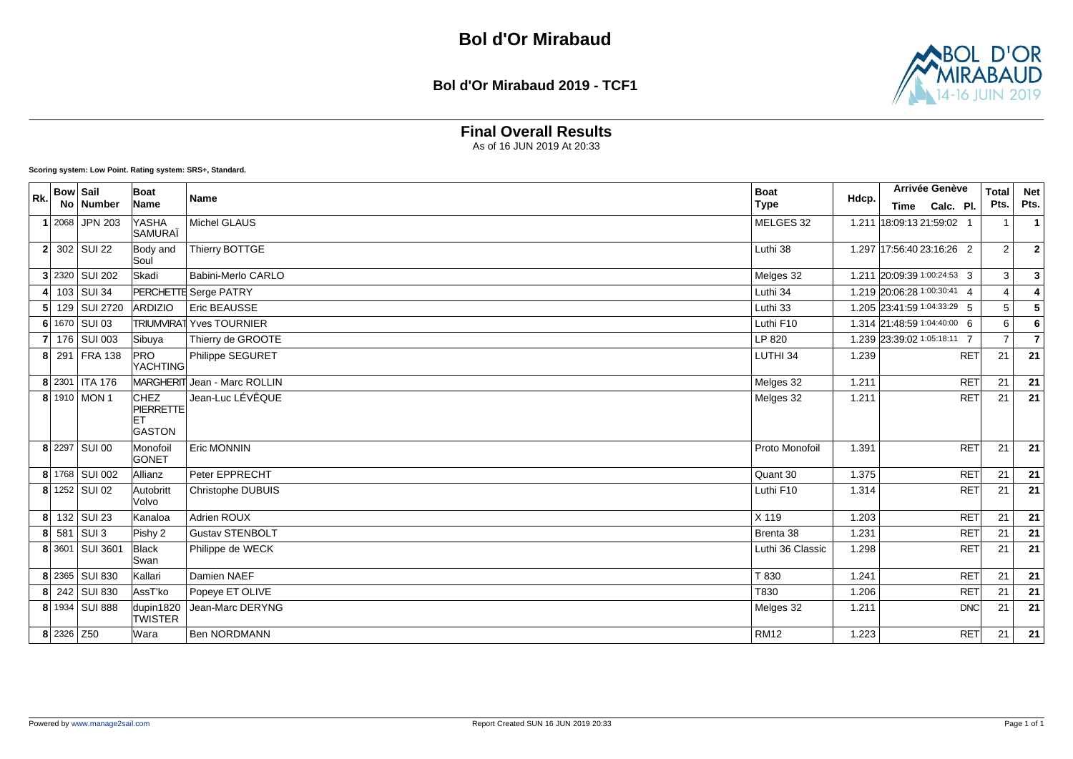

**Final Overall Results**

As of 16 JUN 2019 At 20:33

| Rk. | <b>Bow Sail</b> |                             | Boat                                                    |                                 | <b>Boat</b>      |       | Arrivée Genève              | <b>Total</b>   | <b>Net</b>               |
|-----|-----------------|-----------------------------|---------------------------------------------------------|---------------------------------|------------------|-------|-----------------------------|----------------|--------------------------|
|     |                 | No   Number                 | Name                                                    | <b>Name</b>                     | <b>Type</b>      | Hdcp. | Calc. Pl.<br>Time           | Pts.           | Pts.                     |
|     |                 | $1 2068 $ JPN 203           | YASHA<br>SAMURAÏ                                        | Michel GLAUS                    | MELGES 32        |       | 1.211 18:09:13 21:59:02 1   | $\overline{1}$ | $\overline{1}$           |
|     |                 | $2$ 302 SUI 22              | Body and<br>Soul                                        | Thierry BOTTGE                  | Luthi 38         |       | 1.297 17:56:40 23:16:26 2   | $\overline{2}$ | $\boldsymbol{2}$         |
|     |                 | 3 2320 SUI 202              | Skadi                                                   | Babini-Merlo CARLO              | Melges 32        |       | 1.211 20:09:39 1:00:24:53 3 | 3              | $\mathbf{3}$             |
|     |                 | 103   SUI 34                |                                                         | <b>PERCHETTE</b> Serge PATRY    | Luthi 34         |       | 1.219 20:06:28 1:00:30:41 4 | $\overline{4}$ | 4                        |
|     |                 | 5 129 SUI 2720              | <b>ARDIZIO</b>                                          | <b>Eric BEAUSSE</b>             | Luthi 33         |       | 1.205 23:41:59 1:04:33:29 5 | 5              | $\sqrt{5}$               |
|     |                 | 6 1670 SUI 03               |                                                         | <b>TRIUMVIRAT Yves TOURNIER</b> | Luthi F10        |       | 1.314 21:48:59 1:04:40:00 6 | 6              | 6                        |
|     |                 | 7 176 SUI 003               | Sibuya                                                  | Thierry de GROOTE               | LP 820           |       | 1.239 23:39:02 1:05:18:11 7 | $\overline{7}$ | $\overline{\phantom{a}}$ |
|     |                 | 8 291 FRA 138               | <b>PRO</b><br>YACHTING                                  | Philippe SEGURET                | LUTHI 34         | 1.239 | <b>RET</b>                  | 21             | 21                       |
|     |                 | 8 2301 ITA 176              |                                                         | MARGHERIT Jean - Marc ROLLIN    | Melges 32        | 1.211 | <b>RET</b>                  | 21             | 21                       |
|     |                 | 8 1910 MON 1                | <b>CHEZ</b><br><b>PIERRETTE</b><br>lЕТ<br><b>GASTON</b> | Jean-Luc LÉVÊQUE                | Melges 32        | 1.211 | <b>RET</b>                  | 21             | 21                       |
|     |                 | 8 2297 SUI 00               | Monofoil<br><b>GONET</b>                                | Eric MONNIN                     | Proto Monofoil   | 1.391 | <b>RET</b>                  | 21             | $\overline{21}$          |
|     |                 | 8 1768 SUI 002              | Allianz                                                 | Peter EPPRECHT                  | Quant 30         | 1.375 | <b>RET</b>                  | 21             | 21                       |
|     |                 | $\overline{8 }$ 1252 SUI 02 | Autobritt<br>lVolvo                                     | <b>Christophe DUBUIS</b>        | Luthi F10        | 1.314 | <b>RET</b>                  | 21             | 21                       |
|     |                 | 8 132 SUI 23                | Kanaloa                                                 | Adrien ROUX                     | X 119            | 1.203 | <b>RET</b>                  | 21             | 21                       |
|     |                 | $8$ 581 SUI 3               | Pishy 2                                                 | <b>Gustav STENBOLT</b>          | Brenta 38        | 1.231 | <b>RET</b>                  | 21             | 21                       |
|     |                 | 8 3601 SUI 3601             | <b>Black</b><br>Swan                                    | Philippe de WECK                | Luthi 36 Classic | 1.298 | <b>RET</b>                  | 21             | 21                       |
|     |                 | 8 2365 SUI 830              | Kallari                                                 | Damien NAEF                     | T 830            | 1.241 | <b>RET</b>                  | 21             | 21                       |
|     |                 | 8 242 SUI 830               | AssT'ko                                                 | Popeye ET OLIVE                 | T830             | 1.206 | <b>RET</b>                  | 21             | 21                       |
|     |                 | 8 1934 SUI 888              | dupin1820<br><b>TWISTER</b>                             | Jean-Marc DERYNG                | Melges 32        | 1.211 | <b>DNC</b>                  | 21             | 21                       |
|     | 8 2326 Z50      |                             | Wara                                                    | <b>Ben NORDMANN</b>             | <b>RM12</b>      | 1.223 | <b>RET</b>                  | 21             | 21                       |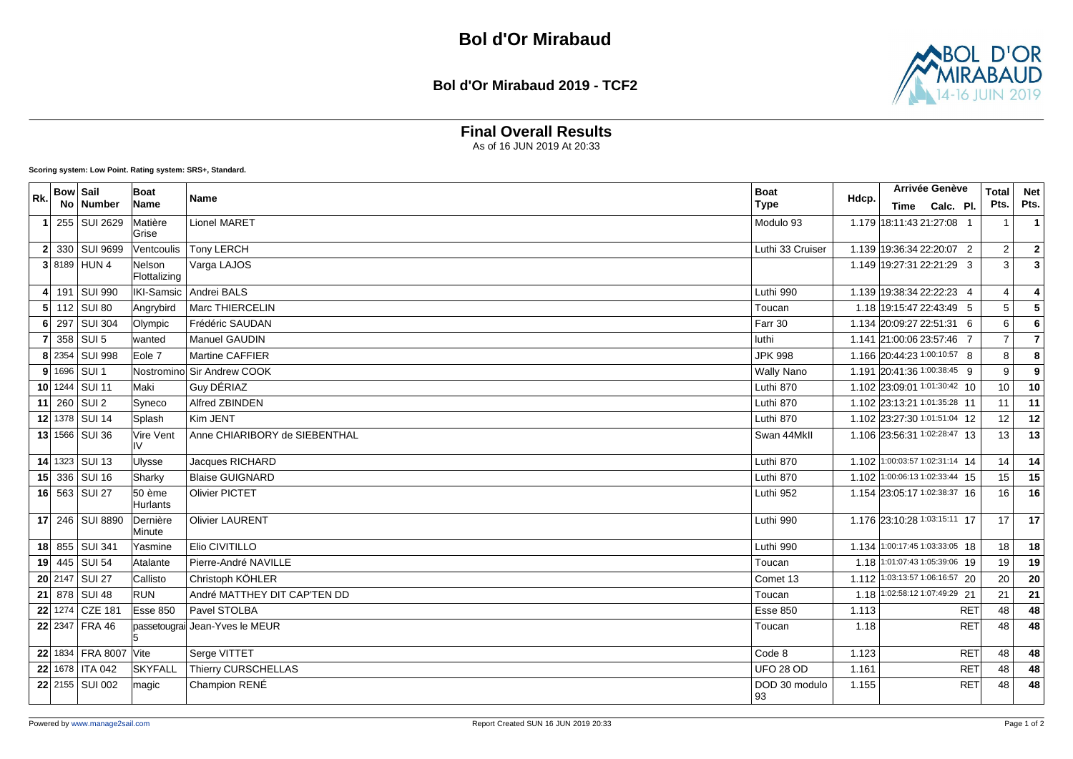**Bol d'Or Mirabaud 2019 - TCF2**



## **Final Overall Results**

As of 16 JUN 2019 At 20:33

| Rk. | <b>Bow Sail</b> | No   Number           | Boat<br>Name              | Name                           | <b>Boat</b><br><b>Type</b> | Hdcp. | Arrivée Genève<br>Time Calc. Pl. | <b>Total</b><br>Pts. | <b>Net</b><br>Pts.      |
|-----|-----------------|-----------------------|---------------------------|--------------------------------|----------------------------|-------|----------------------------------|----------------------|-------------------------|
| -1  |                 | 255 SUI 2629          | Matière<br>Grise          | <b>Lionel MARET</b>            | Modulo 93                  |       | 1.179 18:11:43 21:27:08 1        |                      | $\mathbf{1}$            |
|     |                 | 2 330 SUI 9699        | Ventcoulis                | <b>Tony LERCH</b>              | Luthi 33 Cruiser           |       | 1.139 19:36:34 22:20:07 2        | 2                    | $\mathbf{2}$            |
|     |                 | $3 8189 $ HUN 4       | Nelson<br>Flottalizing    | Varga LAJOS                    |                            |       | 1.149 19:27:31 22:21:29 3        | 3                    | $\overline{\mathbf{3}}$ |
|     |                 | 4 191 SUI 990         |                           | IKI-Samsic   Andrei BALS       | Luthi 990                  |       | 1.139 19:38:34 22:22:23 4        | $\overline{4}$       | $\overline{4}$          |
|     |                 | $5$ 112 SUI 80        | Angrybird                 | Marc THIERCELIN                | Toucan                     |       | 1.18 19:15:47 22:43:49 5         | 5                    | $\sqrt{5}$              |
|     |                 | 6 297 SUI 304         | Olympic                   | Frédéric SAUDAN                | Farr 30                    |       | 1.134 20:09:27 22:51:31 6        | 6                    | $6\phantom{1}6$         |
|     |                 | 358 SUI 5             | lwanted                   | <b>Manuel GAUDIN</b>           | luthi                      |       | 1.141 21:00:06 23:57:46 7        | $\overline{7}$       |                         |
|     |                 | 8 2354 SUI 998        | Eole 7                    | Martine CAFFIER                | <b>JPK 998</b>             |       | 1.166 20:44:23 1:00:10:57 8      | 8                    | 8                       |
|     |                 | $9 1696 $ SUI 1       |                           | Nostromino Sir Andrew COOK     | <b>Wally Nano</b>          |       | 1.191 20:41:36 1:00:38:45 9      | 9                    | $\overline{9}$          |
|     |                 | 10 $1244$ SUI 11      | <b>Maki</b>               | Guy DÉRIAZ                     | Luthi 870                  |       | 1.102 23:09:01 1:01:30:42 10     | 10                   | 10                      |
|     |                 | 11 $260$ SUI 2        | Syneco                    | Alfred ZBINDEN                 | Luthi 870                  |       | 1.102 23:13:21 1:01:35:28 11     | 11                   | 11                      |
|     |                 | 12 1378 SUI 14        | Splash                    | Kim JENT                       | Luthi 870                  |       | 1.102 23:27:30 1:01:51:04 12     | 12                   | 12                      |
|     |                 | 13 1566 SUI 36        | Vire Vent<br>IV           | Anne CHIARIBORY de SIEBENTHAL  | Swan 44Mkll                |       | 1.106 23:56:31 1:02:28:47 13     | 13                   | $\overline{13}$         |
|     |                 | 14 1323 SUI 13        | <b>Ulysse</b>             | Jacques RICHARD                | Luthi 870                  |       | 1.102 1:00:03:57 1:02:31:14 14   | 14                   | 14                      |
|     |                 | 15 336 SUI 16         | Sharky                    | <b>Blaise GUIGNARD</b>         | Luthi 870                  |       | 1.102 1:00:06:13 1:02:33:44 15   | 15                   | 15                      |
|     |                 | 16 563 SUI 27         | 50 ème<br><b>Hurlants</b> | <b>Olivier PICTET</b>          | Luthi 952                  |       | 1.154 23:05:17 1:02:38:37 16     | 16                   | 16                      |
|     |                 | 17 246 SUI 8890       | Dernière<br>Minute        | <b>Olivier LAURENT</b>         | Luthi 990                  |       | 1.176 23:10:28 1:03:15:11 17     | 17                   | 17                      |
|     |                 | 18 855 SUI 341        | Yasmine                   | Elio CIVITILLO                 | Luthi 990                  |       | 1.134 1:00:17:45 1:03:33:05 18   | 18                   | 18                      |
|     |                 | 19 445 SUI 54         | Atalante                  | Pierre-André NAVILLE           | Toucan                     |       | 1.18 1:01:07:43 1:05:39:06 19    | 19                   | 19                      |
|     |                 | 20 2147 SUI 27        | Callisto                  | Christoph KÖHLER               | Comet 13                   |       | 1.112 1:03:13:57 1:06:16:57 20   | 20                   | 20                      |
|     |                 | 21 878 SUI 48         | <b>RUN</b>                | André MATTHEY DIT CAP'TEN DD   | Toucan                     |       | 1.18 1:02:58:12 1:07:49:29 21    | 21                   | 21                      |
|     |                 | 22 1274 CZE 181       | Esse 850                  | Pavel STOLBA                   | <b>Esse 850</b>            | 1.113 | <b>RET</b>                       | 48                   | 48                      |
|     |                 | 22 2347 FRA 46        |                           | passetougrai Jean-Yves le MEUR | Toucan                     | 1.18  | <b>RET</b>                       | 48                   | 48                      |
|     |                 | 22 1834 FRA 8007 Vite |                           | Serge VITTET                   | Code 8                     | 1.123 | <b>RET</b>                       | 48                   | 48                      |
|     |                 | 22 1678   ITA 042     | <b>SKYFALL</b>            | Thierry CURSCHELLAS            | UFO 28 OD                  | 1.161 | <b>RET</b>                       | 48                   | 48                      |
|     |                 | 22 2155 SUI 002       | magic                     | Champion RENÉ                  | DOD 30 modulo<br>93        | 1.155 | <b>RET</b>                       | 48                   | 48                      |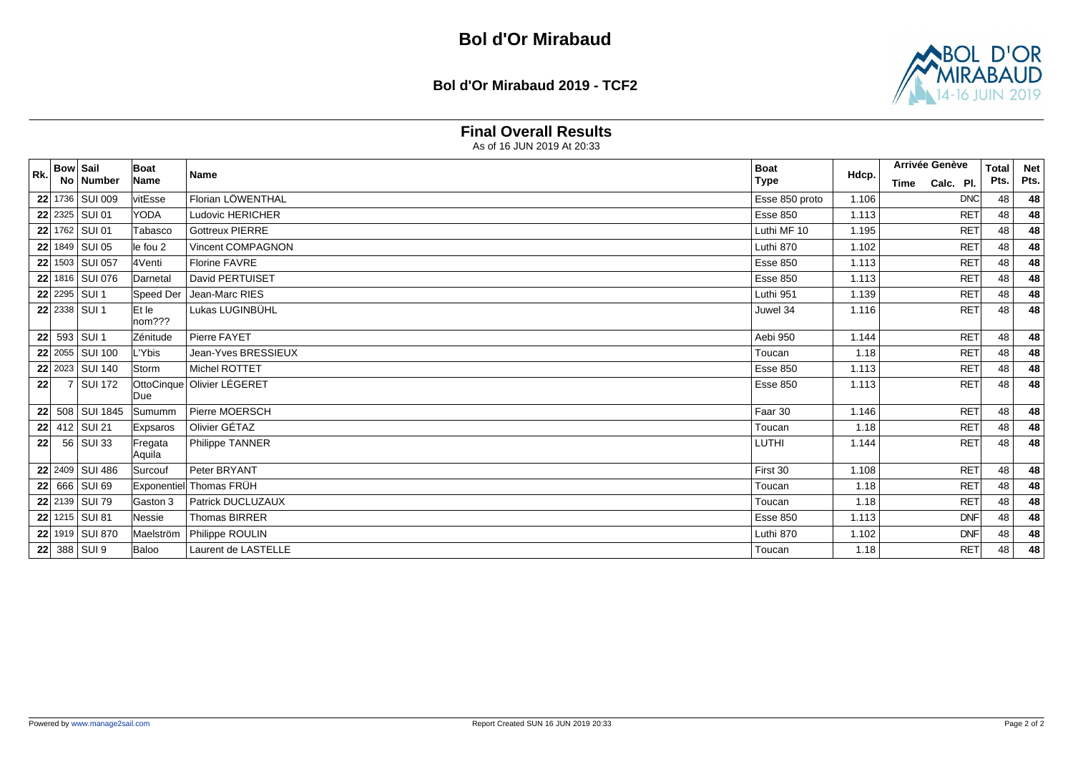**Bol d'Or Mirabaud 2019 - TCF2**



### **Final Overall Results**

|     | <b>Bow Sail</b> |                 | Boat              |                            | <b>Boat</b>     |       | Arrivée Genève    | <b>Total</b> | <b>Net</b> |
|-----|-----------------|-----------------|-------------------|----------------------------|-----------------|-------|-------------------|--------------|------------|
| Rk. |                 | No   Number     | Name              | <b>Name</b>                | <b>Type</b>     | Hdcp. | Calc. Pl.<br>Time | Pts.         | Pts.       |
|     |                 | 22 1736 SUI 009 | vitEsse           | Florian LÖWENTHAL          | Esse 850 proto  | 1.106 | <b>DNC</b>        | 48           | 48         |
|     |                 | 22 2325 SUI 01  | <b>YODA</b>       | Ludovic HERICHER           | <b>Esse 850</b> | 1.113 | <b>RET</b>        | 48           | 48         |
|     |                 | 22 1762 SUI 01  | Tabasco           | <b>Gottreux PIERRE</b>     | Luthi MF 10     | 1.195 | <b>RET</b>        | 48           | 48         |
|     |                 | 22 1849 SUI 05  | le fou 2          | Vincent COMPAGNON          | Luthi 870       | 1.102 | <b>RET</b>        | 48           | 48         |
|     |                 | 22 1503 SUI 057 | 4Venti            | Florine FAVRE              | <b>Esse 850</b> | 1.113 | <b>RET</b>        | 48           | 48         |
|     |                 | 22 1816 SUI 076 | Darnetal          | David PERTUISET            | <b>Esse 850</b> | 1.113 | <b>RET</b>        | 48           | 48         |
|     |                 | 22 2295 SUI 1   | Speed Der         | Jean-Marc RIES             | Luthi 951       | 1.139 | <b>RET</b>        | 48           | 48         |
|     |                 | 22 2338 SUI 1   | Et le<br>nom???   | Lukas LUGINBÜHL            | Juwel 34        | 1.116 | <b>RET</b>        | 48           | 48         |
|     |                 | 22 593 SUI 1    | Zénitude          | Pierre FAYET               | Aebi 950        | 1.144 | <b>RET</b>        | 48           | 48         |
|     |                 | 22 2055 SUI 100 | L'Ybis            | Jean-Yves BRESSIEUX        | Toucan          | 1.18  | <b>RET</b>        | 48           | 48         |
|     |                 | 22 2023 SUI 140 | Storm             | Michel ROTTET              | <b>Esse 850</b> | 1.113 | <b>RET</b>        | 48           | 48         |
| 22  |                 | 7 SUI 172       | lDue              | OttoCinque Olivier LÉGERET | <b>Esse 850</b> | 1.113 | <b>RET</b>        | 48           | 48         |
|     |                 | 22 508 SUI 1845 | Sumumm            | Pierre MOERSCH             | Faar 30         | 1.146 | <b>RET</b>        | 48           | 48         |
|     |                 | 22 412 SUI 21   | Expsaros          | Olivier GÉTAZ              | Toucan          | 1.18  | <b>RET</b>        | 48           | 48         |
| 22  |                 | 56 SUI 33       | Fregata<br>Aquila | Philippe TANNER            | LUTHI           | 1.144 | <b>RET</b>        | 48           | 48         |
|     |                 | 22 2409 SUI 486 | Surcouf           | Peter BRYANT               | First 30        | 1.108 | <b>RET</b>        | 48           | 48         |
|     |                 | 22 666 SUI 69   |                   | Exponentiel Thomas FRÜH    | Toucan          | 1.18  | <b>RET</b>        | 48           | 48         |
|     |                 | 22 2139 SUI 79  | Gaston 3          | Patrick DUCLUZAUX          | Toucan          | 1.18  | <b>RET</b>        | 48           | 48         |
|     |                 | 22 1215 SUI 81  | Nessie            | <b>Thomas BIRRER</b>       | <b>Esse 850</b> | 1.113 | <b>DNF</b>        | 48           | 48         |
|     |                 | 22 1919 SUI 870 | Maelström         | Philippe ROULIN            | Luthi 870       | 1.102 | <b>DNF</b>        | 48           | 48         |
|     |                 | 22 388 SUI 9    | Baloo             | Laurent de LASTELLE        | Toucan          | 1.18  | <b>RET</b>        | 48           | 48         |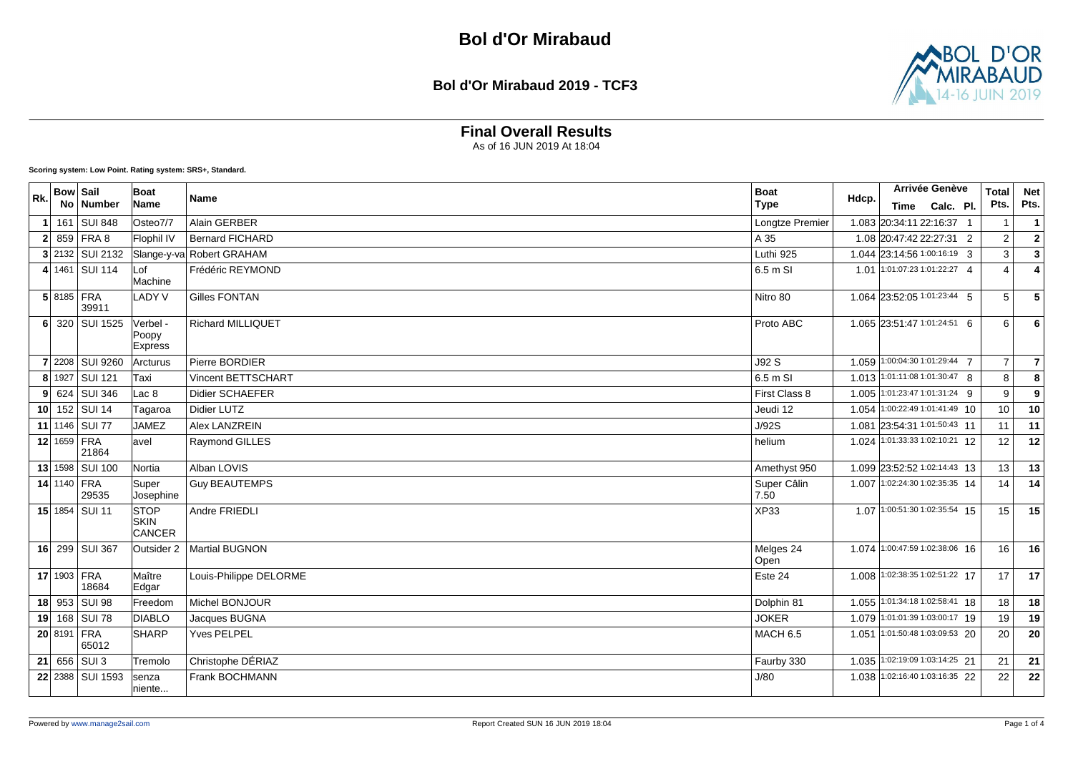**Bol d'Or Mirabaud 2019 - TCF3**



## **Final Overall Results**

As of 16 JUN 2019 At 18:04

| Rk.            | <b>Bow Sail</b> | No Number            | Boat<br>Name                        | Name                      | <b>Boat</b><br><b>Type</b> | Hdcp. | Arrivée Genève<br>Time Calc. Pl. | <b>Total</b><br>Pts. | <b>Net</b><br>Pts. |
|----------------|-----------------|----------------------|-------------------------------------|---------------------------|----------------------------|-------|----------------------------------|----------------------|--------------------|
|                |                 | 161 SUI 848          | Osteo7/7                            | Alain GERBER              | Longtze Premier            |       | 1.083 20:34:11 22:16:37 1        |                      | $\mathbf{1}$       |
| 2 <sup>1</sup> |                 | 859 FRA 8            | Flophil IV                          | <b>Bernard FICHARD</b>    | A 35                       |       | 1.08 20:47:42 22:27:31 2         | 2                    | $\mathbf{2}$       |
|                |                 | $3$ 2132 SUI 2132    |                                     | Slange-y-va Robert GRAHAM | Luthi 925                  |       | 1.044 23:14:56 1:00:16:19 3      | 3                    | $\mathbf{3}$       |
|                |                 | 4 1461 SUI 114       | Lof<br>Machine                      | Frédéric REYMOND          | 6.5 m SI                   |       | 1.01 1:01:07:23 1:01:22:27 4     | 4                    |                    |
|                | 5 8185 FRA      | 39911                | <b>LADY V</b>                       | <b>Gilles FONTAN</b>      | Nitro 80                   |       | 1.064 23:52:05 1:01:23:44 5      | 5                    | 5                  |
| 6              |                 | 320 SUI 1525         | Verbel -<br>Poopy<br><b>Express</b> | <b>Richard MILLIQUET</b>  | Proto ABC                  |       | 1.065 23:51:47 1:01:24:51 6      | 6                    | 6                  |
|                |                 | 7 2208 SUI 9260      | Arcturus                            | Pierre BORDIER            | J92 S                      |       | 1.059 1:00:04:30 1:01:29:44 7    | $\overline{7}$       | $\overline{7}$     |
|                |                 | 8 1927 SUI 121       | Taxi                                | <b>Vincent BETTSCHART</b> | 6.5 m SI                   |       | 1.013 1:01:11:08 1:01:30:47 8    | 8                    | 8                  |
|                |                 | $9$ 624 SUI 346      | Lac 8                               | <b>Didier SCHAEFER</b>    | First Class 8              |       | 1.005 1:01:23:47 1:01:31:24 9    | 9                    | $\boldsymbol{9}$   |
|                |                 | 10 152 SUI 14        | Tagaroa                             | <b>Didier LUTZ</b>        | Jeudi 12                   |       | 1.054 1:00:22:49 1:01:41:49 10   | 10                   | 10                 |
|                |                 | 11 1146 SUI 77       | <b>JAMEZ</b>                        | <b>Alex LANZREIN</b>      | J/92S                      | 1.081 | 23:54:31 1:01:50:43 11           | 11                   | 11                 |
|                | 12 1659 FRA     | 21864                | avel                                | Raymond GILLES            | helium                     |       | 1.024 1:01:33:33 1:02:10:21 12   | 12                   | 12                 |
|                |                 | 13 1598 SUI 100      | Nortia                              | Alban LOVIS               | Amethyst 950               |       | 1.099 23:52:52 1:02:14:43 13     | 13                   | 13                 |
|                | 14 1140 FRA     | 29535                | Super<br>Josephine                  | <b>Guy BEAUTEMPS</b>      | Super Câlin<br>7.50        |       | 1.007 1:02:24:30 1:02:35:35 14   | 14                   | 14                 |
|                |                 | 15 1854 SUI 11       | <b>STOP</b><br>SKIN<br>CANCER       | Andre FRIEDLI             | <b>XP33</b>                |       | 1.07 1:00:51:30 1:02:35:54 15    | 15                   | 15                 |
|                |                 | 16 299 SUI 367       | Outsider 2                          | Martial BUGNON            | Melges 24<br>Open          |       | 1.074 1:00:47:59 1:02:38:06 16   | 16                   | 16                 |
|                |                 | 17 1903 FRA<br>18684 | Maître<br>Edgar                     | Louis-Philippe DELORME    | Este 24                    |       | 1.008 1:02:38:35 1:02:51:22 17   | 17                   | 17                 |
|                |                 | 18 953 SUI 98        | Freedom                             | Michel BONJOUR            | Dolphin 81                 |       | 1.055 1:01:34:18 1:02:58:41 18   | 18                   | 18                 |
|                |                 | 19 168 SUI 78        | <b>DIABLO</b>                       | Jacques BUGNA             | <b>JOKER</b>               |       | 1.079 1:01:01:39 1:03:00:17 19   | 19                   | 19                 |
|                |                 | 20 8191 FRA<br>65012 | SHARP                               | <b>Yves PELPEL</b>        | <b>MACH 6.5</b>            | 1.051 | 1:01:50:48 1:03:09:53 20         | 20                   | 20                 |
|                |                 | 21   656   SU13      | Tremolo                             | Christophe DÉRIAZ         | Faurby 330                 | 1.035 | 1:02:19:09 1:03:14:25 21         | 21                   | 21                 |
|                |                 | 22 2388 SUI 1593     | senza<br>niente                     | Frank BOCHMANN            | J/80                       |       | 1.038 1:02:16:40 1:03:16:35 22   | 22                   | 22                 |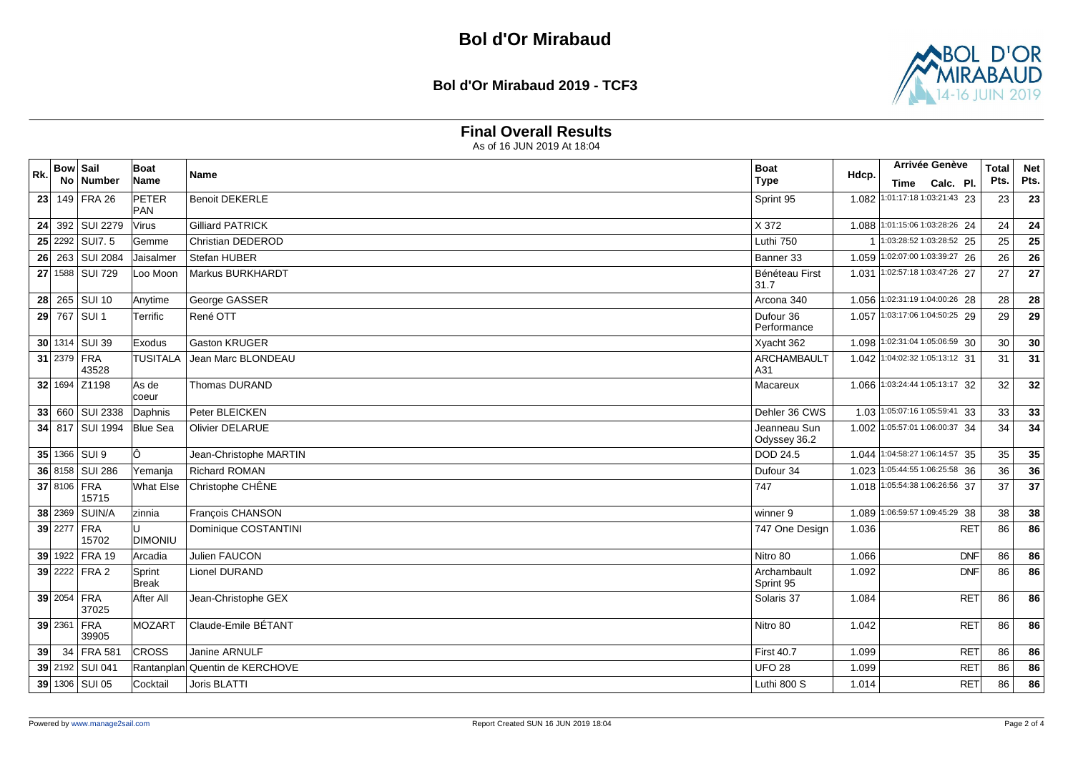**Bol d'Or Mirabaud 2019 - TCF3**



### **Final Overall Results**

| Rk. | <b>Bow Sail</b> | No Number               | Boat<br>Name     | <b>Name</b>                    | <b>Boat</b><br><b>Type</b>   | Hdcp. | Arrivée Genève<br>Time Calc. Pl. |            | <b>Total</b><br>Pts. | <b>Net</b><br>Pts. |
|-----|-----------------|-------------------------|------------------|--------------------------------|------------------------------|-------|----------------------------------|------------|----------------------|--------------------|
| 23  |                 | 149 FRA 26              | PETER            | <b>Benoit DEKERLE</b>          | Sprint 95                    | 1.082 | 1:01:17:18 1:03:21:43 23         |            | 23                   | 23                 |
|     |                 |                         | <b>PAN</b>       |                                |                              |       |                                  |            |                      |                    |
|     |                 | 24 392 SUI 2279         | Virus            | <b>Gilliard PATRICK</b>        | X 372                        |       | 1.088 1:01:15:06 1:03:28:26 24   |            | 24                   | 24                 |
|     |                 | $25$ 2292 SUIT. 5       | Gemme            | Christian DEDEROD              | Luthi 750                    |       | 1:03:28:52 1:03:28:52 25         |            | 25                   | 25                 |
|     |                 | 26 263 SUI 2084         | Jaisalmer        | Stefan HUBER                   | Banner 33                    |       | 1.059 1:02:07:00 1:03:39:27 26   |            | 26                   | 26                 |
|     |                 | 27 1588 SUI 729         | Loo Moon         | Markus BURKHARDT               | Bénéteau First<br>31.7       | 1.031 | $\boxed{1:02:57:181:03:47:2627}$ |            | 27                   | 27                 |
|     |                 | 28 265 SUI 10           | Anytime          | George GASSER                  | Arcona 340                   |       | 1.056 1:02:31:19 1:04:00:26 28   |            | 28                   | 28                 |
|     |                 | 29 767 SUI 1            | Terrific         | René OTT                       | Dufour 36<br>Performance     |       | 1.057 1:03:17:06 1:04:50:25 29   |            | 29                   | 29                 |
|     |                 | 30 1314 SUI 39          | Exodus           | Gaston KRUGER                  | Xyacht 362                   |       | 1.098 1:02:31:04 1:05:06:59 30   |            | 30                   | 30                 |
|     |                 | 31 2379 FRA<br>43528    | <b>TUSITALA</b>  | Jean Marc BLONDEAU             | <b>ARCHAMBAULT</b><br>A31    |       | 1.042 1:04:02:32 1:05:13:12 31   |            | 31                   | 31                 |
|     |                 | 32 1694 Z1198           | As de<br>coeur   | Thomas DURAND                  | Macareux                     |       | 1.066 1:03:24:44 1:05:13:17 32   |            | 32                   | 32                 |
|     |                 | 33 660 SUI 2338         | Daphnis          | Peter BLEICKEN                 | Dehler 36 CWS                |       | 1.03 1:05:07:16 1:05:59:41 33    |            | 33                   | 33                 |
|     |                 | 34 817 SUI 1994         | <b>Blue Sea</b>  | <b>Olivier DELARUE</b>         | Jeanneau Sun<br>Odyssey 36.2 |       | 1.002 1:05:57:01 1:06:00:37 34   |            | 34                   | 34                 |
|     |                 | 35 1366 SUI 9           | lÔ.              | Jean-Christophe MARTIN         | <b>DOD 24.5</b>              |       | 1.044 1:04:58:27 1:06:14:57 35   |            | 35                   | 35                 |
|     |                 | 36 8158 SUI 286         | Yemanja          | Richard ROMAN                  | Dufour 34                    |       | 1.023 1:05:44:55 1:06:25:58 36   |            | 36                   | 36                 |
|     | 37 8106         | FRA<br>15715            | <b>What Else</b> | Christophe CHÊNE               | 747                          |       | 1.018 1:05:54:38 1:06:26:56 37   |            | 37                   | 37                 |
|     |                 | 38 2369 SUIN/A          | zinnia           | François CHANSON               | winner 9                     |       | 1.089 1:06:59:57 1:09:45:29 38   |            | 38                   | 38                 |
|     |                 | 39 2277 FRA<br>15702    | <b>DIMONIU</b>   | Dominique COSTANTINI           | 747 One Design               | 1.036 |                                  | <b>RET</b> | 86                   | 86                 |
|     |                 | 39 1922 FRA 19          | Arcadia          | <b>Julien FAUCON</b>           | Nitro 80                     | 1.066 |                                  | <b>DNF</b> | 86                   | 86                 |
|     |                 | 39 2222 FRA 2           | Sprint<br>Break  | <b>Lionel DURAND</b>           | Archambault<br>Sprint 95     | 1.092 |                                  | <b>DNF</b> | 86                   | 86                 |
|     |                 | 39 2054 FRA<br>37025    | After All        | Jean-Christophe GEX            | Solaris 37                   | 1.084 |                                  | <b>RET</b> | 86                   | 86                 |
|     | 39 2361         | FRA<br>39905            | MOZART           | Claude-Emile BÉTANT            | Nitro 80                     | 1.042 |                                  | <b>RET</b> | 86                   | 86                 |
| 39  |                 | $\overline{34}$ FRA 581 | <b>CROSS</b>     | Janine ARNULF                  | <b>First 40.7</b>            | 1.099 |                                  | <b>RET</b> | 86                   | 86                 |
|     |                 | 39 2192 SUI 041         |                  | Rantanplan Quentin de KERCHOVE | <b>UFO 28</b>                | 1.099 |                                  | <b>RET</b> | 86                   | 86                 |
|     |                 | 39 1306 SUI 05          | Cocktail         | Joris BLATTI                   | Luthi 800 S                  | 1.014 |                                  | <b>RET</b> | 86                   | 86                 |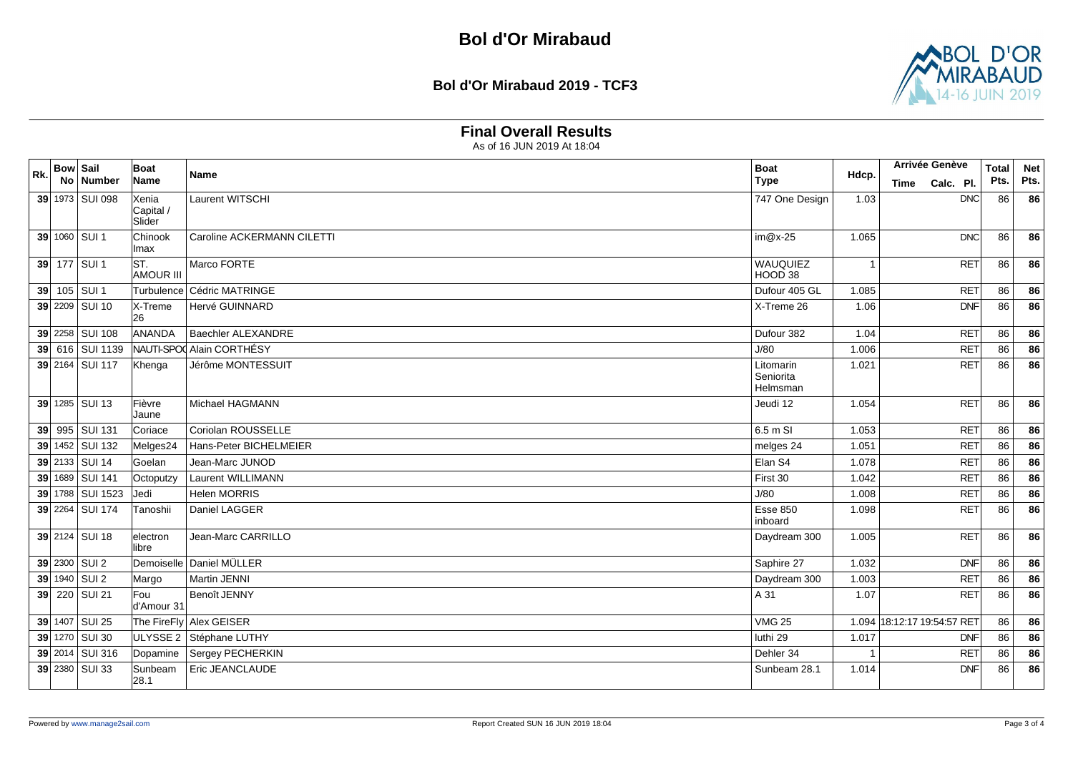#### **Bol d'Or Mirabaud 2019 - TCF3**



### **Final Overall Results**

|     | <b>Bow Sail</b> |                  | <b>Boat</b>             | <b>Name</b>                | <b>Boat</b>                        |                | Arrivée Genève        | <b>Total</b> | <b>Net</b> |      |
|-----|-----------------|------------------|-------------------------|----------------------------|------------------------------------|----------------|-----------------------|--------------|------------|------|
| Rk. | No              | Number           | Name                    |                            | <b>Type</b>                        | Hdcp.          | Calc. Pl.<br>Time     |              | Pts.       | Pts. |
|     |                 | 39 1973 SUI 098  | Xenia                   | Laurent WITSCHI            | 747 One Design                     | 1.03           |                       | <b>DNC</b>   | 86         | 86   |
|     |                 |                  | Capital /<br>Slider     |                            |                                    |                |                       |              |            |      |
|     |                 | 39 1060 SUI 1    | Chinook<br>lmax         | Caroline ACKERMANN CILETTI | $im@x-25$                          | 1.065          |                       | DNC          | 86         | 86   |
|     |                 | 39 177 SUI 1     | ST.<br><b>AMOUR III</b> | Marco FORTE                | WAUQUIEZ<br>HOOD 38                | $\overline{1}$ |                       | <b>RET</b>   | 86         | 86   |
|     |                 | 39 105 SUI 1     | Turbulence              | Cédric MATRINGE            | Dufour 405 GL                      | 1.085          |                       | <b>RET</b>   | 86         | 86   |
|     |                 | 39 2209 SUI 10   | X-Treme<br>26           | Hervé GUINNARD             | X-Treme 26                         | 1.06           |                       | <b>DNF</b>   | 86         | 86   |
|     |                 | 39 2258 SUI 108  | ANANDA                  | <b>Baechler ALEXANDRE</b>  | Dufour 382                         | 1.04           |                       | <b>RET</b>   | 86         | 86   |
|     |                 | 39 616 SUI 1139  |                         | NAUTI-SPO Alain CORTHÉSY   | J/80                               | 1.006          |                       | <b>RET</b>   | 86         | 86   |
|     |                 | 39 2164 SUI 117  | Khenga                  | Jérôme MONTESSUIT          | Litomarin<br>Seniorita<br>Helmsman | 1.021          |                       | <b>RET</b>   | 86         | 86   |
|     |                 | 39 1285 SUI 13   | Fièvre<br>Jaune         | Michael HAGMANN            | Jeudi 12                           | 1.054          |                       | <b>RET</b>   | 86         | 86   |
| 39  |                 | 995 SUI 131      | Coriace                 | Coriolan ROUSSELLE         | 6.5 m SI                           | 1.053          |                       | <b>RET</b>   | 86         | 86   |
|     |                 | 39 1452 SUI 132  | Melges24                | Hans-Peter BICHELMEIER     | melges 24                          | 1.051          |                       | <b>RET</b>   | 86         | 86   |
|     |                 | 39 2133 SUI 14   | Goelan                  | Jean-Marc JUNOD            | Elan S4                            | 1.078          |                       | <b>RET</b>   | 86         | 86   |
|     |                 | 39 1689 SUI 141  | Octoputzy               | Laurent WILLIMANN          | First 30                           | 1.042          |                       | <b>RET</b>   | 86         | 86   |
|     |                 | 39 1788 SUI 1523 | Jedi                    | <b>Helen MORRIS</b>        | J/80                               | 1.008          |                       | <b>RET</b>   | 86         | 86   |
|     |                 | 39 2264 SUI 174  | Tanoshii                | Daniel LAGGER              | <b>Esse 850</b><br>inboard         | 1.098          |                       | <b>RET</b>   | 86         | 86   |
|     |                 | 39 2124 SUI 18   | electron<br>libre       | Jean-Marc CARRILLO         | Daydream 300                       | 1.005          |                       | <b>RET</b>   | 86         | 86   |
|     |                 | 39 2300 SUI 2    |                         | Demoiselle Daniel MÜLLER   | Saphire 27                         | 1.032          |                       | <b>DNF</b>   | 86         | 86   |
|     |                 | 39 1940 SUI 2    | Margo                   | Martin JENNI               | Daydream 300                       | 1.003          |                       | <b>RET</b>   | 86         | 86   |
| 39  |                 | 220 SUI 21       | Fou<br>d'Amour 31       | Benoît JENNY               | A 31                               | 1.07           |                       | <b>RET</b>   | 86         | 86   |
|     |                 | 39 1407 SUI 25   |                         | The FireFly Alex GEISER    | <b>VMG 25</b>                      | 1.094          | 18:12:17 19:54:57 RET |              | 86         | 86   |
|     |                 | 39 1270 SUI 30   |                         | ULYSSE 2 Stéphane LUTHY    | luthi 29                           | 1.017          |                       | <b>DNF</b>   | 86         | 86   |
|     |                 | 39 2014 SUI 316  | Dopamine                | Sergey PECHERKIN           | Dehler 34                          | -1             |                       | <b>RET</b>   | 86         | 86   |
|     |                 | 39 2380 SUI 33   | <b>Sunbeam</b><br>28.1  | Eric JEANCLAUDE            | Sunbeam 28.1                       | 1.014          |                       | <b>DNF</b>   | 86         | 86   |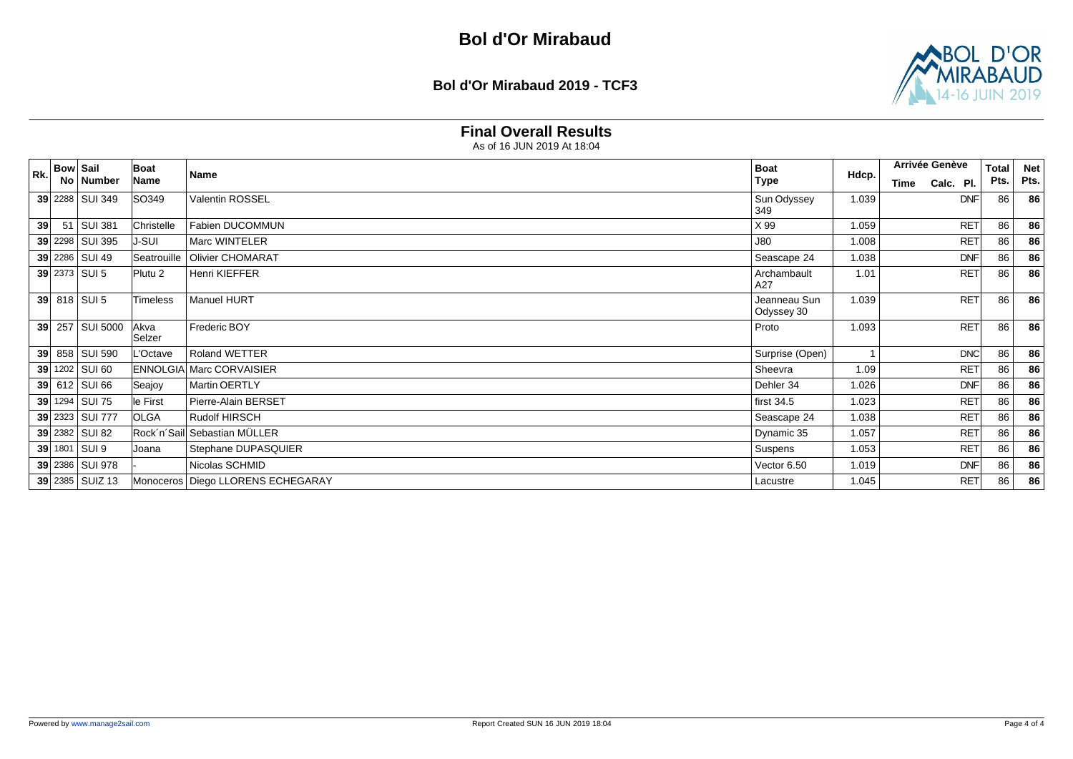**Bol d'Or Mirabaud 2019 - TCF3**



### **Final Overall Results**

| Rk.             | <b>Bow Sail</b> |                 | Boat               | Name                                | <b>Boat</b>                |       | Arrivée Genève    | <b>Total</b> | <b>Net</b> |
|-----------------|-----------------|-----------------|--------------------|-------------------------------------|----------------------------|-------|-------------------|--------------|------------|
|                 |                 | No   Number     | Name               |                                     | <b>Type</b>                | Hdcp. | Calc. Pl.<br>Time | Pts.         | Pts.       |
|                 |                 | 39 2288 SUI 349 | SO349              | Valentin ROSSEL                     | Sun Odyssey<br>349         | 1.039 | <b>DNF</b>        | 86           | 86         |
| 39 <sup>°</sup> |                 | 51 SUI 381      | Christelle         | Fabien DUCOMMUN                     | X 99                       | 1.059 | <b>RET</b>        | 86           | 86         |
|                 |                 | 39 2298 SUI 395 | <b>J-SUI</b>       | Marc WINTELER                       | <b>J80</b>                 | 1.008 | <b>RET</b>        | 86           | 86         |
|                 |                 | 39 2286 SUI 49  | Seatrouille        | <b>Olivier CHOMARAT</b>             | Seascape 24                | 1.038 | <b>DNF</b>        | 86           | 86         |
|                 |                 | 39 2373 SUI 5   | Plutu <sub>2</sub> | Henri KIEFFER                       | Archambault<br>A27         | 1.01  | <b>RET</b>        | 86           | 86         |
|                 |                 | 39 818 SUI 5    | <b>Timeless</b>    | <b>Manuel HURT</b>                  | Jeanneau Sun<br>Odyssey 30 | 1.039 | <b>RET</b>        | 86           | 86         |
|                 |                 | 39 257 SUI 5000 | Akva<br>Selzer     | Frederic BOY                        | Proto                      | 1.093 | <b>RET</b>        | 86           | 86         |
| 39              |                 | 858 SUI 590     | L'Octave           | <b>Roland WETTER</b>                | Surprise (Open)            |       | <b>DNC</b>        | 86           | 86         |
|                 |                 | 39 1202 SUI 60  |                    | <b>ENNOLGIA Marc CORVAISIER</b>     | Sheevra                    | 1.09  | <b>RET</b>        | 86           | 86         |
|                 |                 | 39 612 SUI 66   | Seajoy             | <b>Martin OERTLY</b>                | Dehler 34                  | 1.026 | <b>DNF</b>        | 86           | 86         |
|                 |                 | 39 1294 SUI 75  | le First           | Pierre-Alain BERSET                 | first $34.5$               | 1.023 | <b>RET</b>        | 86           | 86         |
|                 |                 | 39 2323 SUI 777 | <b>OLGA</b>        | Rudolf HIRSCH                       | Seascape 24                | 1.038 | <b>RET</b>        | 86           | 86         |
|                 |                 | 39 2382 SUI 82  |                    | Rock'n'Sail Sebastian MÜLLER        | Dynamic 35                 | 1.057 | <b>RET</b>        | 86           | 86         |
|                 |                 | 39 1801 SUI 9   | Joana              | Stephane DUPASQUIER                 | Suspens                    | 1.053 | <b>RET</b>        | 86           | 86         |
|                 |                 | 39 2386 SUI 978 |                    | Nicolas SCHMID                      | Vector 6.50                | 1.019 | <b>DNF</b>        | 86           | 86         |
|                 |                 | 39 2385 SUIZ 13 |                    | Monoceros   Diego LLORENS ECHEGARAY | Lacustre                   | 1.045 | <b>RET</b>        | 86           | 86         |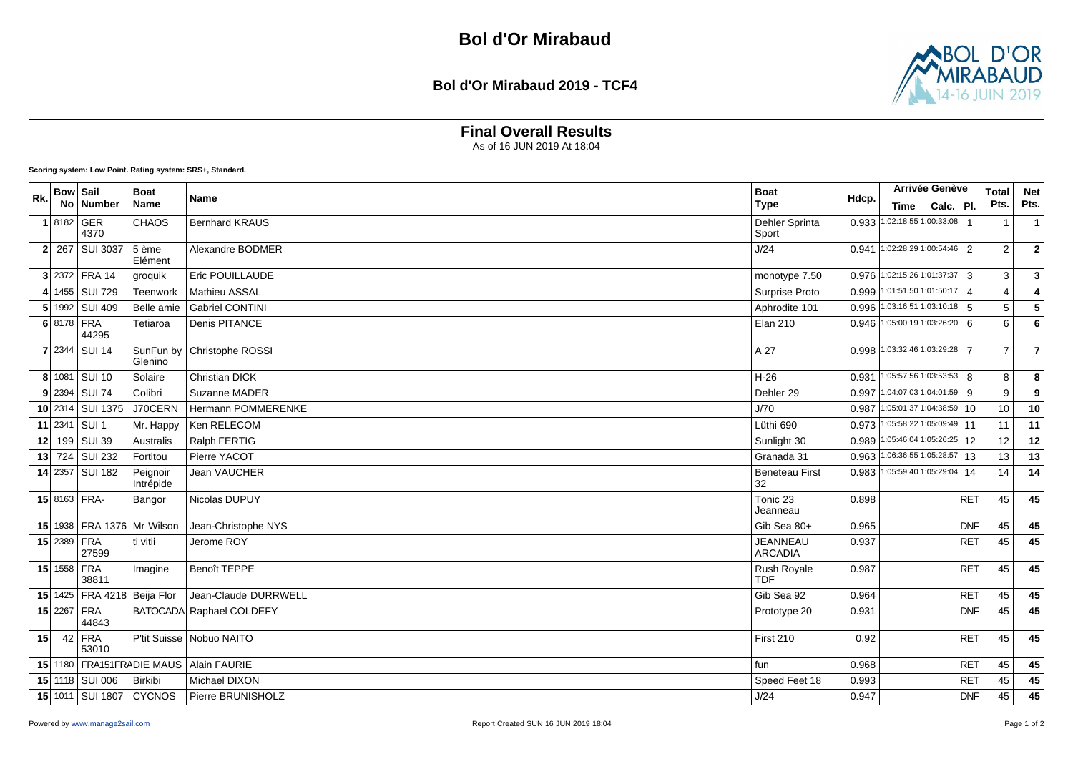#### **Bol d'Or Mirabaud 2019 - TCF4**



## **Final Overall Results**

As of 16 JUN 2019 At 18:04

| R <sub>k</sub> | <b>Bow Sail</b> | No   Number                     | Boat<br>Name                    | <b>Name</b>                | <b>Boat</b><br><b>Type</b>        | Hdcp. | Arrivée Genève<br>Calc. Pl.<br>Time | <b>Total</b><br>Pts. | <b>Net</b><br>Pts.      |
|----------------|-----------------|---------------------------------|---------------------------------|----------------------------|-----------------------------------|-------|-------------------------------------|----------------------|-------------------------|
|                | 1 8182 GER      | 4370                            | <b>CHAOS</b>                    | <b>Bernhard KRAUS</b>      | Dehler Sprinta<br>Sport           |       | 0.933 1:02:18:55 1:00:33:08 1       | -1                   | $\overline{1}$          |
|                |                 | 2 267 SUI 3037                  | $5 \nleftrightarrow$<br>Elément | Alexandre BODMER           | J/24                              |       | 0.941 1:02:28:29 1:00:54:46 2       | $\overline{2}$       | $\overline{\mathbf{2}}$ |
|                |                 | 3 2372 FRA 14                   | groquik                         | Eric POUILLAUDE            | monotype 7.50                     |       | 0.976 1:02:15:26 1:01:37:37 3       | 3                    | 3                       |
|                |                 | 4 1455 SUI 729                  | Teenwork                        | <b>Mathieu ASSAL</b>       | Surprise Proto                    |       | 0.999 1:01:51:50 1:01:50:17 4       | $\overline{4}$       | $\overline{4}$          |
|                |                 | 5 1992 SUI 409                  | Belle amie                      | <b>Gabriel CONTINI</b>     | Aphrodite 101                     | 0.996 | 1:03:16:51 1:03:10:18 5             | 5                    | $\overline{\mathbf{5}}$ |
|                | 6 8178 FRA      | 44295                           | Tetiaroa                        | <b>Denis PITANCE</b>       | <b>Elan 210</b>                   | 0.946 | 1:05:00:19 1:03:26:20 6             | 6                    | $6\phantom{a}$          |
|                |                 | 7 2344 SUI 14                   | SunFun by<br>lGlenino           | Christophe ROSSI           | A 27                              |       | 0.998 1:03:32:46 1:03:29:28 7       | $\overline{7}$       | $\overline{7}$          |
|                |                 | 8 1081 SUI 10                   | Solaire                         | Christian DICK             | $H-26$                            |       | 0.931 1:05:57:56 1:03:53:53 8       | 8                    | 8                       |
|                |                 | $9$ 2394 SUI 74                 | Colibri                         | Suzanne MADER              | Dehler 29                         |       | 0.997 1:04:07:03 1:04:01:59 9       | 9                    | 9                       |
|                |                 | 10 2314 SUI 1375                | J70CERN                         | Hermann POMMERENKE         | J/70                              | 0.987 | $1:05:01:37$ 1:04:38:59 10          | 10                   | 10                      |
|                | $11$ 2341       | SUI <sub>1</sub>                | Mr. Happy                       | Ken RELECOM                | Lüthi 690                         |       | 0.973 1:05:58:22 1:05:09:49 11      | 11                   | 11                      |
|                |                 | 12 199 SUI 39                   | Australis                       | Ralph FERTIG               | Sunlight 30                       |       | 0.989 1:05:46:04 1:05:26:25 12      | 12                   | 12                      |
|                |                 | 13 724 SUI 232                  | Fortitou                        | Pierre YACOT               | Granada 31                        |       | 0.963 1:06:36:55 1:05:28:57 13      | 13                   | 13                      |
|                |                 | 14 2357 SUI 182                 | Peignoir<br>Intrépide           | Jean VAUCHER               | <b>Beneteau First</b><br>32       |       | 0.983 1:05:59:40 1:05:29:04 14      | 14                   | 14                      |
|                |                 | 15 8163 FRA-                    | Bangor                          | Nicolas DUPUY              | Tonic 23<br>Jeanneau              | 0.898 | <b>RET</b>                          | 45                   | 45                      |
|                |                 | 15 1938   FRA 1376   Mr Wilson  |                                 | Jean-Christophe NYS        | Gib Sea 80+                       | 0.965 | <b>DNF</b>                          | 45                   | 45                      |
|                | 15 2389 FRA     | 27599                           | ti vitii                        | Jerome ROY                 | <b>JEANNEAU</b><br><b>ARCADIA</b> | 0.937 | <b>RET</b>                          | 45                   | 45                      |
|                | 15 1558 FRA     | 38811                           | Imagine                         | Benoît TEPPE               | Rush Royale<br><b>TDF</b>         | 0.987 | <b>RET</b>                          | 45                   | 45                      |
|                |                 | 15 1425   FRA 4218   Beija Flor |                                 | Jean-Claude DURRWELL       | Gib Sea 92                        | 0.964 | <b>RET</b>                          | 45                   | 45                      |
|                | 15 2267 FRA     | 44843                           |                                 | BATOCADA Raphael COLDEFY   | Prototype 20                      | 0.931 | <b>DNF</b>                          | 45                   | 45                      |
| 15             |                 | $42$ FRA<br>53010               |                                 | P'tit Suisse   Nobuo NAITO | First 210                         | 0.92  | <b>RET</b>                          | 45                   | 45                      |
|                |                 | 15 1180 FRA151FRADIE MAUS       |                                 | Alain FAURIE               | fun                               | 0.968 | <b>RET</b>                          | 45                   | 45                      |
|                |                 | 15 1118 SUI 006                 | Birkibi                         | Michael DIXON              | Speed Feet 18                     | 0.993 | <b>RET</b>                          | 45                   | 45                      |
|                |                 | 15 1011 SUI 1807                | CYCNOS                          | Pierre BRUNISHOLZ          | J/24                              | 0.947 | <b>DNF</b>                          | 45                   | 45                      |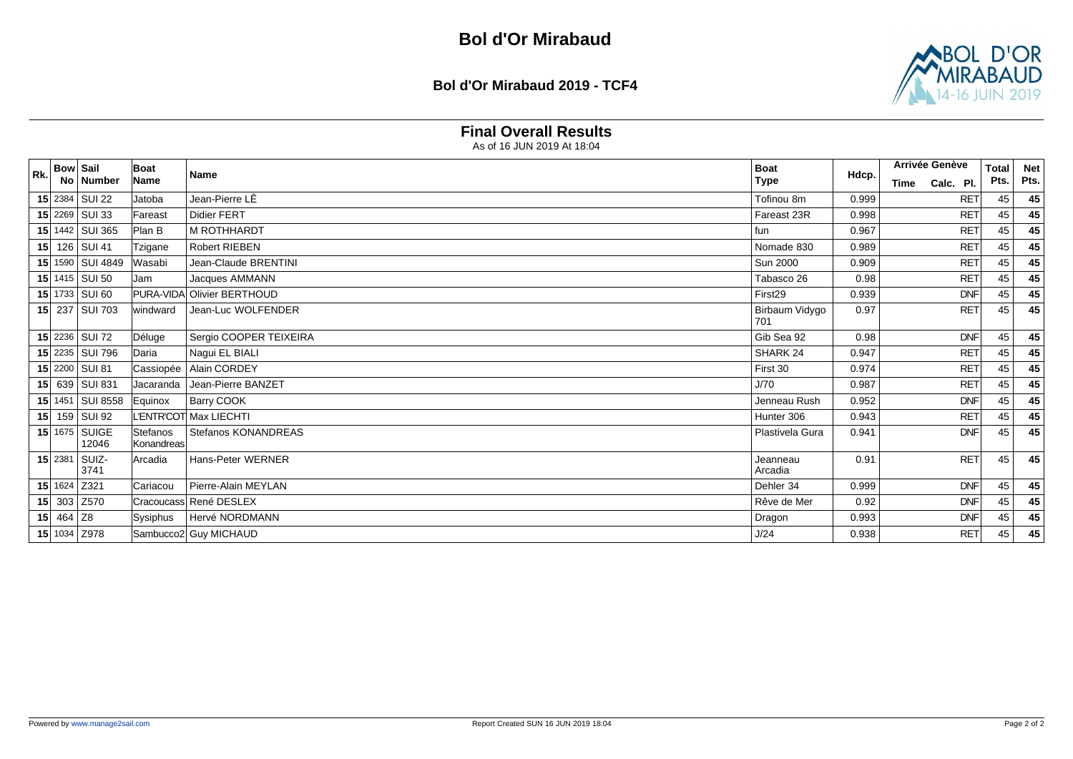**Bol d'Or Mirabaud 2019 - TCF4**



### **Final Overall Results**

| <b>Rk</b> | <b>Bow Sail</b> |                        | Boat                   |                            | <b>Boat</b>                  |       | Arrivée Genève    | <b>Total</b> | <b>Net</b> |
|-----------|-----------------|------------------------|------------------------|----------------------------|------------------------------|-------|-------------------|--------------|------------|
|           |                 | No Number              | Name                   | <b>Name</b>                | <b>Type</b>                  | Hdcp. | Calc. Pl.<br>Time | Pts.         | Pts.       |
|           |                 | 15 2384 SUI 22         | Jatoba                 | Jean-Pierre LÊ             | Tofinou 8m                   | 0.999 | <b>RET</b>        | 45           | 45         |
|           |                 | 15 2269 SUI 33         | Fareast                | <b>Didier FERT</b>         | Fareast 23R                  | 0.998 | <b>RET</b>        | 45           | 45         |
|           |                 | 15 1442 SUI 365        | Plan B                 | <b>M ROTHHARDT</b>         | fun                          | 0.967 | <b>RET</b>        | 45           | 45         |
|           |                 | 15 126 SUI 41          | Tzigane                | <b>Robert RIEBEN</b>       | Nomade 830                   | 0.989 | <b>RET</b>        | 45           | 45         |
|           |                 | 15 1590 SUI 4849       | Wasabi                 | Jean-Claude BRENTINI       | <b>Sun 2000</b>              | 0.909 | <b>RET</b>        | 45           | 45         |
|           |                 | 15 1415 SUI 50         | Jam                    | Jacques AMMANN             | Tabasco 26                   | 0.98  | <b>RET</b>        | 45           | 45         |
|           |                 | 15 1733 SUI 60         |                        | PURA-VIDA Olivier BERTHOUD | First <sub>29</sub>          | 0.939 | <b>DNF</b>        | 45           | 45         |
|           |                 | 15 237 SUI 703         | windward               | Jean-Luc WOLFENDER         | <b>Birbaum Vidygo</b><br>701 | 0.97  | <b>RET</b>        | 45           | 45         |
|           |                 | 15 2236 SUI 72         | Déluge                 | Sergio COOPER TEIXEIRA     | Gib Sea 92                   | 0.98  | <b>DNF</b>        | 45           | 45         |
|           |                 | 15 2235 SUI 796        | Daria                  | Nagui EL BIALI             | SHARK 24                     | 0.947 | <b>RET</b>        | 45           | 45         |
|           |                 | 15 2200 SUI 81         | Cassiopée              | Alain CORDEY               | First 30                     | 0.974 | <b>RET</b>        | 45           | 45         |
|           |                 | 15 639 SUI 831         | Jacaranda              | Jean-Pierre BANZET         | J/70                         | 0.987 | <b>RET</b>        | 45           | 45         |
|           |                 | 15 1451 SUI 8558       | Equinox                | <b>Barry COOK</b>          | Jenneau Rush                 | 0.952 | <b>DNF</b>        | 45           | 45         |
|           |                 | 15 159 SUI 92          |                        | L'ENTR'COT Max LIECHTI     | Hunter 306                   | 0.943 | <b>RET</b>        | 45           | 45         |
|           |                 | 15 1675 SUIGE<br>12046 | Stefanos<br>Konandreas | Stefanos KONANDREAS        | Plastivela Gura              | 0.941 | <b>DNF</b>        | 45           | 45         |
|           |                 | 15 2381 SUIZ-<br>3741  | Arcadia                | Hans-Peter WERNER          | Jeanneau<br>Arcadia          | 0.91  | <b>RET</b>        | 45           | 45         |
|           |                 | 15 1624 Z321           | Cariacou               | Pierre-Alain MEYLAN        | Dehler 34                    | 0.999 | <b>DNF</b>        | 45           | 45         |
|           |                 | 15 303 Z570            |                        | Cracoucass René DESLEX     | Rêve de Mer                  | 0.92  | <b>DNF</b>        | 45           | 45         |
|           | 15 464 Z8       |                        | Sysiphus               | Hervé NORDMANN             | Dragon                       | 0.993 | <b>DNF</b>        | 45           | 45         |
|           |                 | 15 1034 Z978           |                        | Sambucco2 Guy MICHAUD      | J/24                         | 0.938 | <b>RET</b>        | 45           | 45         |